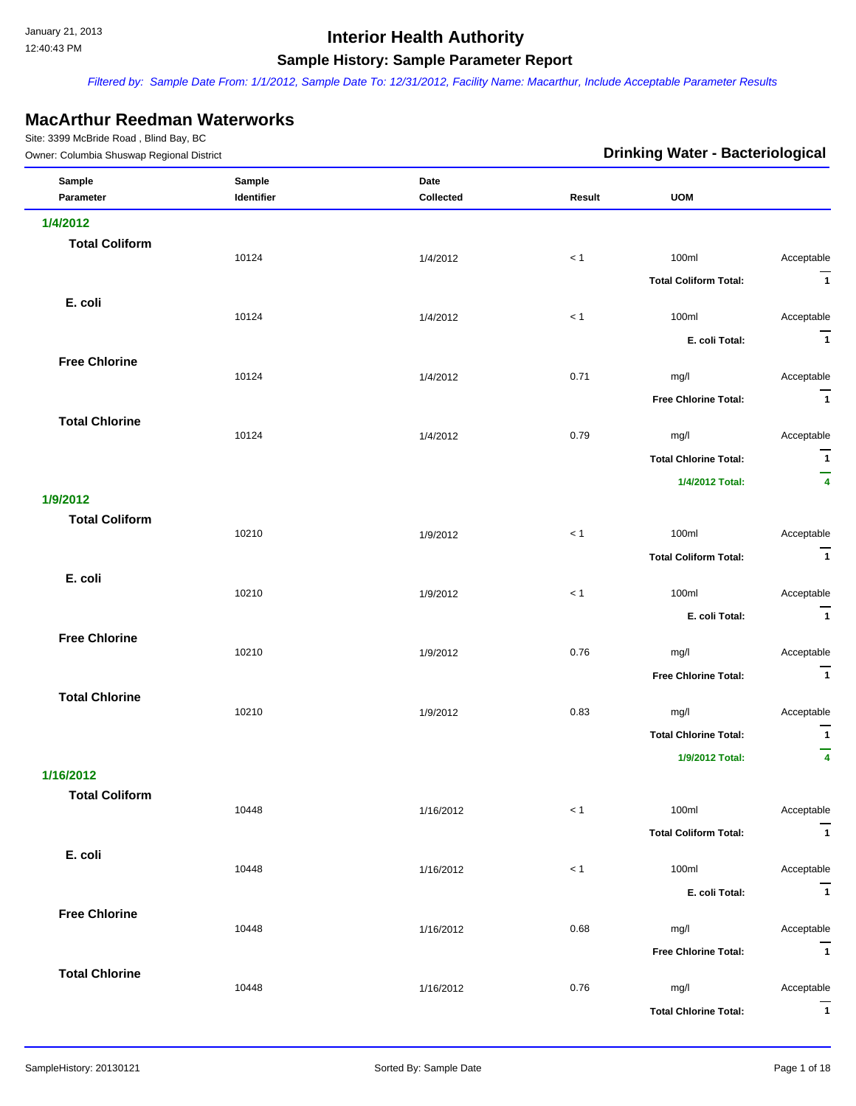*Filtered by: Sample Date From: 1/1/2012, Sample Date To: 12/31/2012, Facility Name: Macarthur, Include Acceptable Parameter Results*

### **MacArthur Reedman Waterworks**

| Owner: Columbia Shuswap Regional District |                      |                   | <b>Drinking Water - Bacteriological</b> |                              |                              |
|-------------------------------------------|----------------------|-------------------|-----------------------------------------|------------------------------|------------------------------|
| Sample<br>Parameter                       | Sample<br>Identifier | Date<br>Collected | Result                                  | <b>UOM</b>                   |                              |
| 1/4/2012                                  |                      |                   |                                         |                              |                              |
| <b>Total Coliform</b>                     |                      |                   |                                         |                              |                              |
|                                           | 10124                | 1/4/2012          | < 1                                     | 100ml                        | Acceptable                   |
|                                           |                      |                   |                                         | <b>Total Coliform Total:</b> | $\overline{1}$               |
| E. coli                                   | 10124                | 1/4/2012          | < 1                                     | 100ml                        | Acceptable                   |
|                                           |                      |                   |                                         | E. coli Total:               | $\overline{1}$               |
| <b>Free Chlorine</b>                      |                      |                   |                                         |                              |                              |
|                                           | 10124                | 1/4/2012          | 0.71                                    | mg/l                         | Acceptable                   |
|                                           |                      |                   |                                         | <b>Free Chlorine Total:</b>  | $\overline{1}$               |
| <b>Total Chlorine</b>                     | 10124                | 1/4/2012          | 0.79                                    | mg/l                         | Acceptable                   |
|                                           |                      |                   |                                         | <b>Total Chlorine Total:</b> | $\mathbf{1}$                 |
|                                           |                      |                   |                                         | 1/4/2012 Total:              | —<br>$\overline{\mathbf{4}}$ |
| 1/9/2012                                  |                      |                   |                                         |                              |                              |
| <b>Total Coliform</b>                     |                      |                   |                                         |                              |                              |
|                                           | 10210                | 1/9/2012          | $< 1$                                   | 100ml                        | Acceptable                   |
|                                           |                      |                   |                                         | <b>Total Coliform Total:</b> | $\overline{1}$               |
| E. coli                                   | 10210                | 1/9/2012          | < 1                                     | 100ml                        | Acceptable                   |
|                                           |                      |                   |                                         | E. coli Total:               | $\overline{1}$               |
| <b>Free Chlorine</b>                      |                      |                   |                                         |                              |                              |
|                                           | 10210                | 1/9/2012          | 0.76                                    | mg/l                         | Acceptable                   |
|                                           |                      |                   |                                         | <b>Free Chlorine Total:</b>  | $\overline{1}$               |
| <b>Total Chlorine</b>                     | 10210                | 1/9/2012          | 0.83                                    | mg/l                         | Acceptable                   |
|                                           |                      |                   |                                         | <b>Total Chlorine Total:</b> | $\overline{1}$               |
|                                           |                      |                   |                                         | 1/9/2012 Total:              | —<br>$\overline{\mathbf{4}}$ |
| 1/16/2012                                 |                      |                   |                                         |                              |                              |
| <b>Total Coliform</b>                     | 10448                |                   | $< 1$                                   | 100ml                        | Acceptable                   |
|                                           |                      | 1/16/2012         |                                         | <b>Total Coliform Total:</b> | $\overline{1}$               |
| E. coli                                   |                      |                   |                                         |                              |                              |
|                                           | 10448                | 1/16/2012         | $< 1$                                   | 100ml                        | Acceptable                   |
|                                           |                      |                   |                                         | E. coli Total:               | $\overline{1}$               |
| <b>Free Chlorine</b>                      |                      |                   |                                         |                              |                              |
|                                           | 10448                | 1/16/2012         | 0.68                                    | mg/l                         | Acceptable<br>$\overline{1}$ |
| <b>Total Chlorine</b>                     |                      |                   |                                         | <b>Free Chlorine Total:</b>  |                              |
|                                           | 10448                | 1/16/2012         | 0.76                                    | mg/l                         | Acceptable                   |
|                                           |                      |                   |                                         | <b>Total Chlorine Total:</b> | $\overline{1}$               |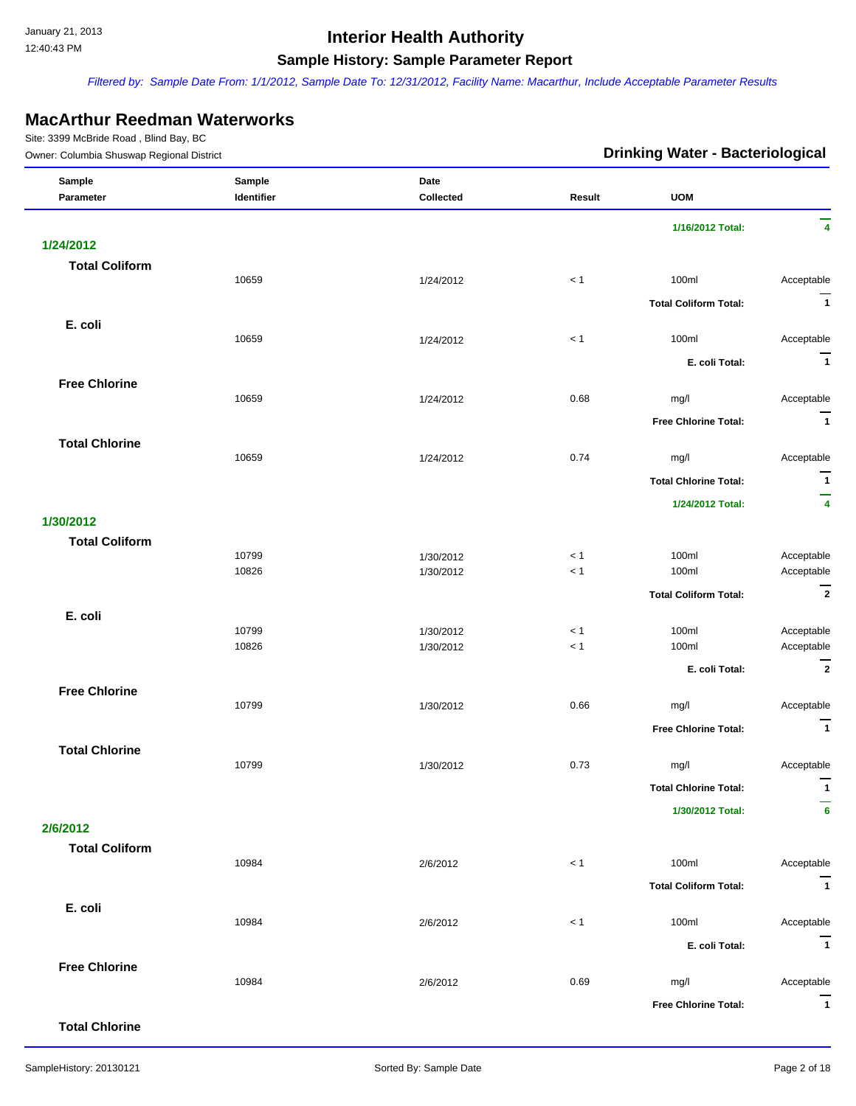*Filtered by: Sample Date From: 1/1/2012, Sample Date To: 12/31/2012, Facility Name: Macarthur, Include Acceptable Parameter Results*

#### **MacArthur Reedman Waterworks**

| Owner: Columbia Shuswap Regional District |            |           | <b>Drinking Water - Bacteriological</b> |                              |                     |
|-------------------------------------------|------------|-----------|-----------------------------------------|------------------------------|---------------------|
| Sample                                    | Sample     | Date      |                                         |                              |                     |
| Parameter                                 | Identifier | Collected | Result                                  | <b>UOM</b>                   |                     |
|                                           |            |           |                                         | 1/16/2012 Total:             | 4                   |
| 1/24/2012                                 |            |           |                                         |                              |                     |
| <b>Total Coliform</b>                     |            |           |                                         |                              |                     |
|                                           | 10659      | 1/24/2012 | < 1                                     | 100ml                        | Acceptable          |
|                                           |            |           |                                         | <b>Total Coliform Total:</b> | $\overline{1}$      |
| E. coli                                   |            |           |                                         |                              |                     |
|                                           | 10659      | 1/24/2012 | < 1                                     | 100ml                        | Acceptable          |
|                                           |            |           |                                         | E. coli Total:               | $\overline{1}$      |
| <b>Free Chlorine</b>                      |            |           |                                         |                              |                     |
|                                           | 10659      | 1/24/2012 | 0.68                                    | mg/l                         | Acceptable          |
|                                           |            |           |                                         | <b>Free Chlorine Total:</b>  | $\overline{1}$      |
|                                           |            |           |                                         |                              |                     |
| <b>Total Chlorine</b>                     | 10659      | 1/24/2012 | 0.74                                    | mg/l                         | Acceptable          |
|                                           |            |           |                                         |                              |                     |
|                                           |            |           |                                         | <b>Total Chlorine Total:</b> | $\overline{1}$<br>— |
|                                           |            |           |                                         | 1/24/2012 Total:             | 4                   |
| 1/30/2012                                 |            |           |                                         |                              |                     |
| <b>Total Coliform</b>                     |            |           |                                         |                              |                     |
|                                           | 10799      | 1/30/2012 | < 1                                     | 100ml                        | Acceptable          |
|                                           | 10826      | 1/30/2012 | < 1                                     | 100ml                        | Acceptable          |
|                                           |            |           |                                         | <b>Total Coliform Total:</b> | $\overline{2}$      |
| E. coli                                   |            |           |                                         |                              |                     |
|                                           | 10799      | 1/30/2012 | < 1                                     | 100ml                        | Acceptable          |
|                                           | 10826      | 1/30/2012 | < 1                                     | 100ml                        | Acceptable          |
|                                           |            |           |                                         | E. coli Total:               | $\overline{2}$      |
| <b>Free Chlorine</b>                      |            |           |                                         |                              |                     |
|                                           | 10799      | 1/30/2012 | 0.66                                    | mg/l                         | Acceptable          |
|                                           |            |           |                                         | <b>Free Chlorine Total:</b>  | $\overline{1}$      |
| <b>Total Chlorine</b>                     |            |           |                                         |                              |                     |
|                                           | 10799      | 1/30/2012 | 0.73                                    | mg/l                         | Acceptable          |
|                                           |            |           |                                         | <b>Total Chlorine Total:</b> | $\mathbf{1}$        |
|                                           |            |           |                                         | 1/30/2012 Total:             | 6                   |
| 2/6/2012                                  |            |           |                                         |                              |                     |
| <b>Total Coliform</b>                     |            |           |                                         |                              |                     |
|                                           | 10984      | 2/6/2012  | < 1                                     | 100ml                        | Acceptable          |
|                                           |            |           |                                         | <b>Total Coliform Total:</b> | $\overline{1}$      |
|                                           |            |           |                                         |                              |                     |
| E. coli                                   | 10984      | 2/6/2012  | < 1                                     | 100ml                        | Acceptable          |
|                                           |            |           |                                         |                              | $\overline{1}$      |
|                                           |            |           |                                         | E. coli Total:               |                     |
| <b>Free Chlorine</b>                      |            |           | 0.69                                    |                              |                     |
|                                           | 10984      | 2/6/2012  |                                         | mg/l                         | Acceptable          |
|                                           |            |           |                                         | <b>Free Chlorine Total:</b>  | $\mathbf{1}$        |
| <b>Total Chlorine</b>                     |            |           |                                         |                              |                     |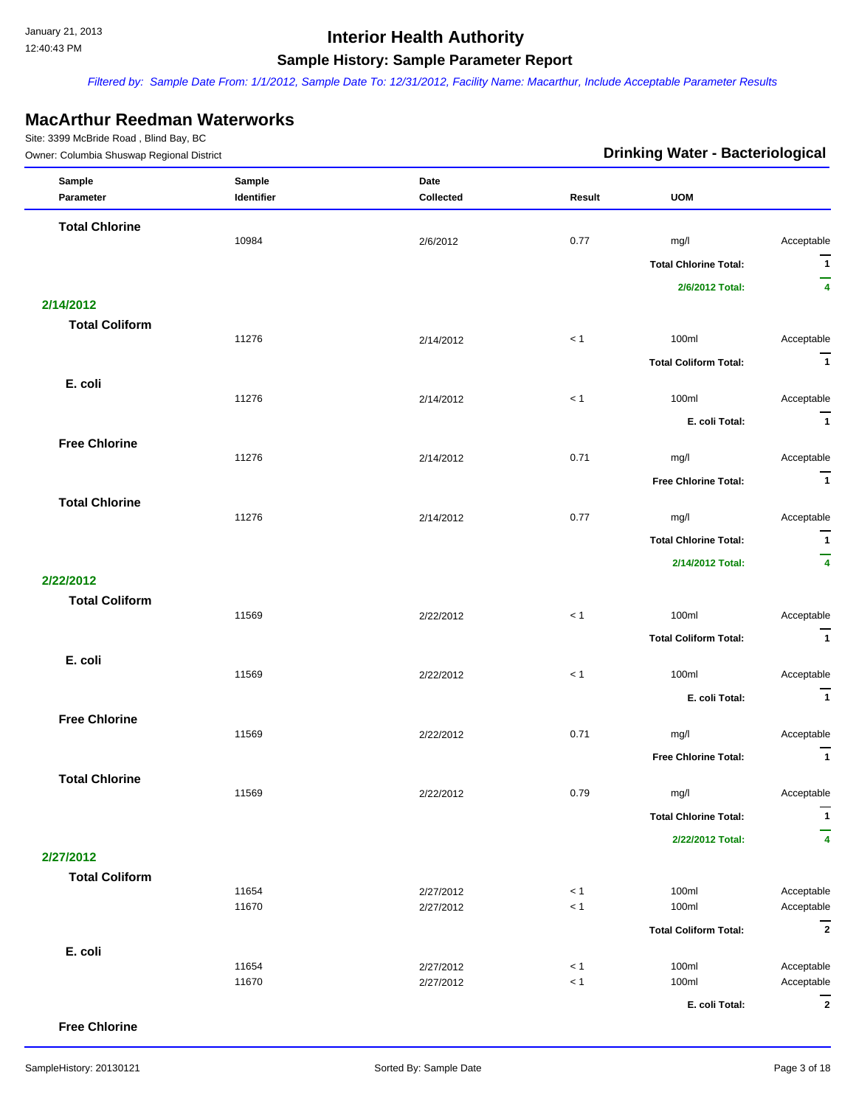*Filtered by: Sample Date From: 1/1/2012, Sample Date To: 12/31/2012, Facility Name: Macarthur, Include Acceptable Parameter Results*

### **MacArthur Reedman Waterworks**

Site: 3399 McBride Road , Blind Bay, BC

| $5000$ $5550500$ $+550$<br>Owner: Columbia Shuswap Regional District |                      |                        | <b>Drinking Water - Bacteriological</b> |                              |                          |  |
|----------------------------------------------------------------------|----------------------|------------------------|-----------------------------------------|------------------------------|--------------------------|--|
| Sample<br>Parameter                                                  | Sample<br>Identifier | Date<br>Collected      | Result                                  | <b>UOM</b>                   |                          |  |
| <b>Total Chlorine</b>                                                |                      |                        |                                         |                              |                          |  |
|                                                                      | 10984                | 2/6/2012               | 0.77                                    | mg/l                         | Acceptable               |  |
|                                                                      |                      |                        |                                         | <b>Total Chlorine Total:</b> | $\overline{1}$           |  |
|                                                                      |                      |                        |                                         | 2/6/2012 Total:              | $\overline{\mathbf{4}}$  |  |
| 2/14/2012                                                            |                      |                        |                                         |                              |                          |  |
| <b>Total Coliform</b>                                                |                      |                        |                                         |                              |                          |  |
|                                                                      | 11276                | 2/14/2012              | < 1                                     | 100ml                        | Acceptable               |  |
|                                                                      |                      |                        |                                         | <b>Total Coliform Total:</b> | $\overline{1}$           |  |
| E. coli                                                              | 11276                | 2/14/2012              | $< 1\,$                                 | 100ml                        | Acceptable               |  |
|                                                                      |                      |                        |                                         |                              |                          |  |
|                                                                      |                      |                        |                                         | E. coli Total:               | $\overline{1}$           |  |
| <b>Free Chlorine</b>                                                 | 11276                | 2/14/2012              | 0.71                                    | mg/l                         | Acceptable               |  |
|                                                                      |                      |                        |                                         | <b>Free Chlorine Total:</b>  | $\overline{1}$           |  |
| <b>Total Chlorine</b>                                                |                      |                        |                                         |                              |                          |  |
|                                                                      | 11276                | 2/14/2012              | 0.77                                    | mg/l                         | Acceptable               |  |
|                                                                      |                      |                        |                                         | <b>Total Chlorine Total:</b> | $\mathbf{1}$             |  |
|                                                                      |                      |                        |                                         | 2/14/2012 Total:             | $\overline{4}$           |  |
| 2/22/2012                                                            |                      |                        |                                         |                              |                          |  |
| <b>Total Coliform</b>                                                |                      |                        |                                         |                              |                          |  |
|                                                                      | 11569                | 2/22/2012              | < 1                                     | 100ml                        | Acceptable               |  |
|                                                                      |                      |                        |                                         | <b>Total Coliform Total:</b> | $\overline{1}$           |  |
| E. coli                                                              |                      |                        |                                         |                              |                          |  |
|                                                                      | 11569                | 2/22/2012              | < 1                                     | 100ml                        | Acceptable               |  |
|                                                                      |                      |                        |                                         | E. coli Total:               | $\overline{1}$           |  |
| <b>Free Chlorine</b>                                                 |                      |                        |                                         |                              |                          |  |
|                                                                      | 11569                | 2/22/2012              | 0.71                                    | mg/l                         | Acceptable               |  |
|                                                                      |                      |                        |                                         | <b>Free Chlorine Total:</b>  | $\overline{\mathbf{1}}$  |  |
| <b>Total Chlorine</b>                                                | 11569                | 2/22/2012              | 0.79                                    | mg/l                         | Acceptable               |  |
|                                                                      |                      |                        |                                         | <b>Total Chlorine Total:</b> | $\mathbf{1}$             |  |
|                                                                      |                      |                        |                                         |                              |                          |  |
| 2/27/2012                                                            |                      |                        |                                         | 2/22/2012 Total:             | 4                        |  |
| <b>Total Coliform</b>                                                |                      |                        |                                         |                              |                          |  |
|                                                                      | 11654                | 2/27/2012              | < 1                                     | 100ml                        | Acceptable               |  |
|                                                                      | 11670                | 2/27/2012              | < 1                                     | 100ml                        | Acceptable               |  |
|                                                                      |                      |                        |                                         | <b>Total Coliform Total:</b> | $\overline{2}$           |  |
| E. coli                                                              |                      |                        |                                         |                              |                          |  |
|                                                                      | 11654<br>11670       | 2/27/2012<br>2/27/2012 | < 1<br>$<1$                             | 100ml<br>100ml               | Acceptable<br>Acceptable |  |
|                                                                      |                      |                        |                                         |                              | $\overline{2}$           |  |
|                                                                      |                      |                        |                                         | E. coli Total:               |                          |  |

**Free Chlorine**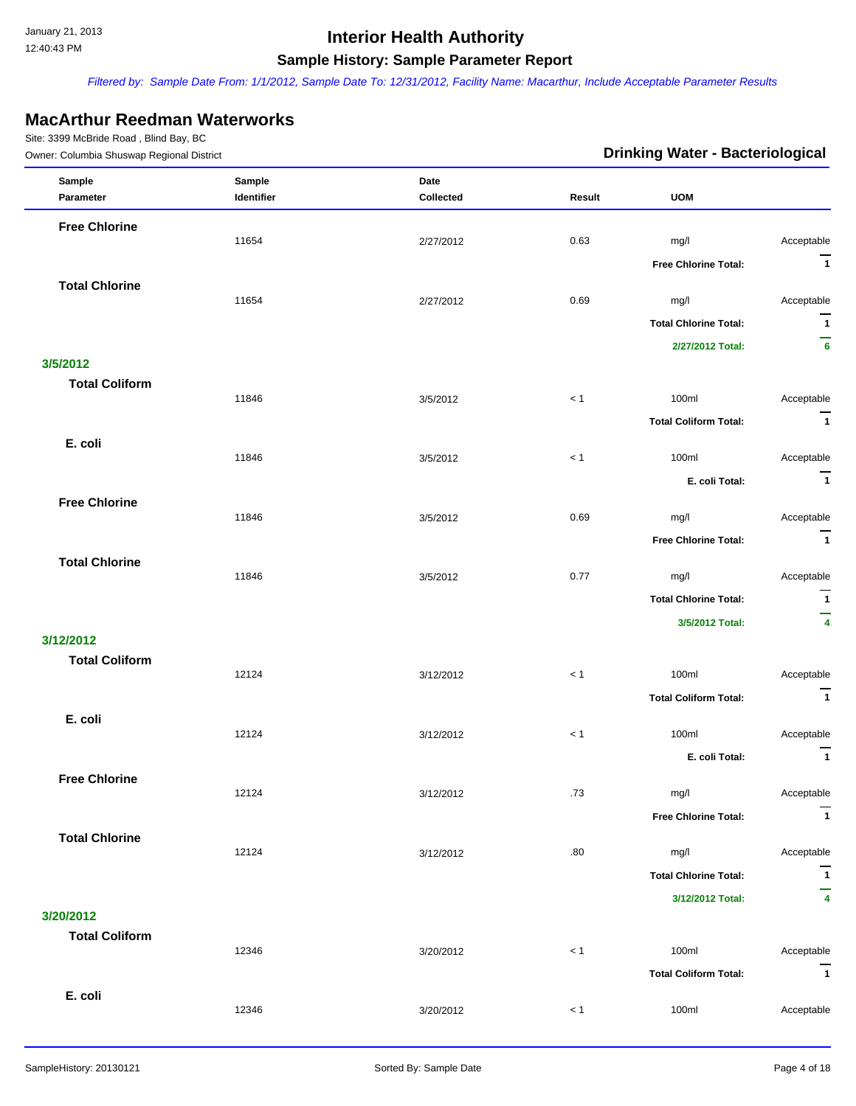*Filtered by: Sample Date From: 1/1/2012, Sample Date To: 12/31/2012, Facility Name: Macarthur, Include Acceptable Parameter Results*

### **MacArthur Reedman Waterworks**

| Owner: Columbia Shuswap Regional District |            |           | <b>Drinking Water - Bacteriological</b> |                              |                              |
|-------------------------------------------|------------|-----------|-----------------------------------------|------------------------------|------------------------------|
| Sample                                    | Sample     | Date      |                                         |                              |                              |
| Parameter                                 | Identifier | Collected | Result                                  | <b>UOM</b>                   |                              |
| <b>Free Chlorine</b>                      |            |           |                                         |                              |                              |
|                                           | 11654      | 2/27/2012 | 0.63                                    | mg/l                         | Acceptable<br>$\overline{1}$ |
| <b>Total Chlorine</b>                     |            |           |                                         | <b>Free Chlorine Total:</b>  |                              |
|                                           | 11654      | 2/27/2012 | 0.69                                    | mg/l                         | Acceptable                   |
|                                           |            |           |                                         | <b>Total Chlorine Total:</b> | $\overline{1}$               |
|                                           |            |           |                                         | 2/27/2012 Total:             | -<br>6                       |
| 3/5/2012                                  |            |           |                                         |                              |                              |
| <b>Total Coliform</b>                     | 11846      |           | $<1$                                    |                              |                              |
|                                           |            | 3/5/2012  |                                         | 100ml                        | Acceptable<br>$\overline{1}$ |
|                                           |            |           |                                         | <b>Total Coliform Total:</b> |                              |
| E. coli                                   | 11846      | 3/5/2012  | < 1                                     | 100ml                        | Acceptable                   |
|                                           |            |           |                                         | E. coli Total:               | $\overline{\mathbf{1}}$      |
| <b>Free Chlorine</b>                      |            |           |                                         |                              |                              |
|                                           | 11846      | 3/5/2012  | 0.69                                    | mg/l                         | Acceptable                   |
|                                           |            |           |                                         | Free Chlorine Total:         | $\overline{1}$               |
| <b>Total Chlorine</b>                     | 11846      | 3/5/2012  | 0.77                                    | mg/l                         | Acceptable                   |
|                                           |            |           |                                         | <b>Total Chlorine Total:</b> | $\overline{1}$               |
|                                           |            |           |                                         | 3/5/2012 Total:              | -<br>$\overline{\mathbf{4}}$ |
| 3/12/2012                                 |            |           |                                         |                              |                              |
| <b>Total Coliform</b>                     |            |           |                                         |                              |                              |
|                                           | 12124      | 3/12/2012 | $<1$                                    | 100ml                        | Acceptable                   |
|                                           |            |           |                                         | <b>Total Coliform Total:</b> | $\overline{\mathbf{1}}$      |
| E. coli                                   | 12124      | 3/12/2012 | $< 1$                                   | 100ml                        | Acceptable                   |
|                                           |            |           |                                         | E. coli Total:               | $\mathbf{1}$                 |
| <b>Free Chlorine</b>                      |            |           |                                         |                              |                              |
|                                           | 12124      | 3/12/2012 | .73                                     | mg/l                         | Acceptable                   |
|                                           |            |           |                                         | <b>Free Chlorine Total:</b>  | $\overline{1}$               |
| <b>Total Chlorine</b>                     |            |           |                                         |                              |                              |
|                                           | 12124      | 3/12/2012 | .80                                     | mg/l                         | Acceptable                   |
|                                           |            |           |                                         | <b>Total Chlorine Total:</b> | $\mathbf{1}$<br>-            |
|                                           |            |           |                                         | 3/12/2012 Total:             | 4                            |
| 3/20/2012<br><b>Total Coliform</b>        |            |           |                                         |                              |                              |
|                                           | 12346      | 3/20/2012 | < 1                                     | 100ml                        | Acceptable                   |
|                                           |            |           |                                         | <b>Total Coliform Total:</b> | $\overline{1}$               |
| E. coli                                   |            |           |                                         |                              |                              |
|                                           | 12346      | 3/20/2012 | < 1                                     | 100ml                        | Acceptable                   |
|                                           |            |           |                                         |                              |                              |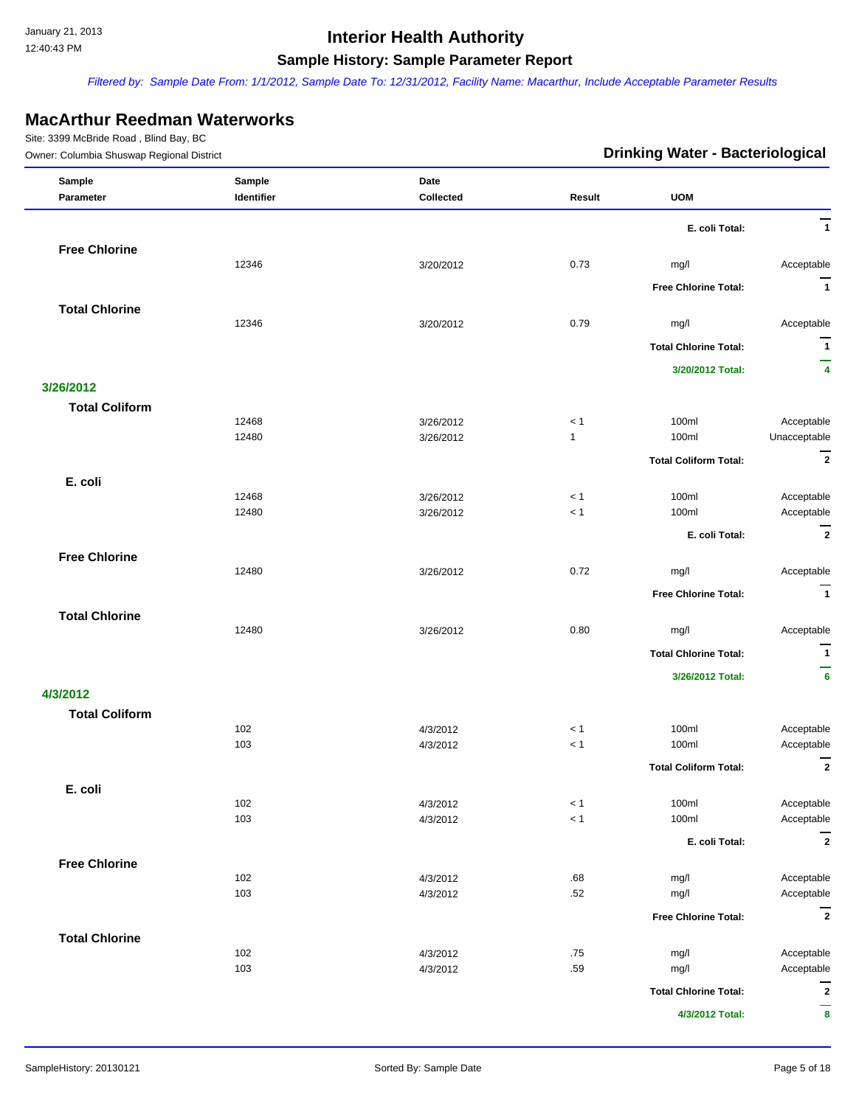*Filtered by: Sample Date From: 1/1/2012, Sample Date To: 12/31/2012, Facility Name: Macarthur, Include Acceptable Parameter Results*

### **MacArthur Reedman Waterworks**

| Owner: Columbia Shuswap Regional District |                | <b>Drinking Water - Bacteriological</b> |                     |                              |                            |
|-------------------------------------------|----------------|-----------------------------------------|---------------------|------------------------------|----------------------------|
| Sample                                    | Sample         | Date                                    |                     |                              |                            |
| Parameter                                 | Identifier     | Collected                               | Result              | <b>UOM</b>                   |                            |
|                                           |                |                                         |                     | E. coli Total:               | $\overline{1}$             |
| <b>Free Chlorine</b>                      |                |                                         |                     |                              |                            |
|                                           | 12346          | 3/20/2012                               | 0.73                | mg/l                         | Acceptable                 |
|                                           |                |                                         |                     | <b>Free Chlorine Total:</b>  | $\overline{\mathbf{1}}$    |
| <b>Total Chlorine</b>                     |                |                                         |                     |                              |                            |
|                                           | 12346          | 3/20/2012                               | 0.79                | mg/l                         | Acceptable                 |
|                                           |                |                                         |                     | <b>Total Chlorine Total:</b> | $\mathbf{1}$               |
|                                           |                |                                         |                     | 3/20/2012 Total:             | —<br>4                     |
| 3/26/2012                                 |                |                                         |                     |                              |                            |
| <b>Total Coliform</b>                     |                |                                         |                     |                              |                            |
|                                           | 12468<br>12480 | 3/26/2012<br>3/26/2012                  | < 1<br>$\mathbf{1}$ | 100ml<br>100ml               | Acceptable<br>Unacceptable |
|                                           |                |                                         |                     |                              | $\overline{2}$             |
|                                           |                |                                         |                     | <b>Total Coliform Total:</b> |                            |
| E. coli                                   | 12468          | 3/26/2012                               | < 1                 | 100ml                        | Acceptable                 |
|                                           | 12480          | 3/26/2012                               | $<1$                | 100ml                        | Acceptable                 |
|                                           |                |                                         |                     | E. coli Total:               | $\overline{2}$             |
| <b>Free Chlorine</b>                      |                |                                         |                     |                              |                            |
|                                           | 12480          | 3/26/2012                               | 0.72                | mg/l                         | Acceptable                 |
|                                           |                |                                         |                     | <b>Free Chlorine Total:</b>  | $\overline{1}$             |
| <b>Total Chlorine</b>                     |                |                                         |                     |                              |                            |
|                                           | 12480          | 3/26/2012                               | 0.80                | mg/l                         | Acceptable                 |
|                                           |                |                                         |                     | <b>Total Chlorine Total:</b> | $\overline{1}$             |
|                                           |                |                                         |                     | 3/26/2012 Total:             | -<br>6                     |
| 4/3/2012                                  |                |                                         |                     |                              |                            |
| <b>Total Coliform</b>                     |                |                                         |                     |                              |                            |
|                                           | 102            | 4/3/2012                                | < 1                 | 100ml                        | Acceptable                 |
|                                           | 103            | 4/3/2012                                | $<1$                | 100ml                        | Acceptable                 |
|                                           |                |                                         |                     | <b>Total Coliform Total:</b> | $\overline{2}$             |
| E. coli                                   |                |                                         |                     |                              |                            |
|                                           | 102            | 4/3/2012                                | < 1                 | 100ml                        | Acceptable                 |
|                                           | 103            | 4/3/2012                                | $<1$                | 100ml                        | Acceptable                 |
|                                           |                |                                         |                     | E. coli Total:               | $\overline{2}$             |
| <b>Free Chlorine</b>                      |                |                                         |                     |                              |                            |
|                                           | 102<br>103     | 4/3/2012<br>4/3/2012                    | .68<br>.52          | mg/l<br>mg/l                 | Acceptable<br>Acceptable   |
|                                           |                |                                         |                     |                              | $\overline{2}$             |
|                                           |                |                                         |                     | <b>Free Chlorine Total:</b>  |                            |
| <b>Total Chlorine</b>                     | 102            | 4/3/2012                                | .75                 | mg/l                         | Acceptable                 |
|                                           | 103            | 4/3/2012                                | .59                 | mg/l                         | Acceptable                 |
|                                           |                |                                         |                     | <b>Total Chlorine Total:</b> | $\mathbf{2}$               |
|                                           |                |                                         |                     | 4/3/2012 Total:              | $\pmb{8}$                  |
|                                           |                |                                         |                     |                              |                            |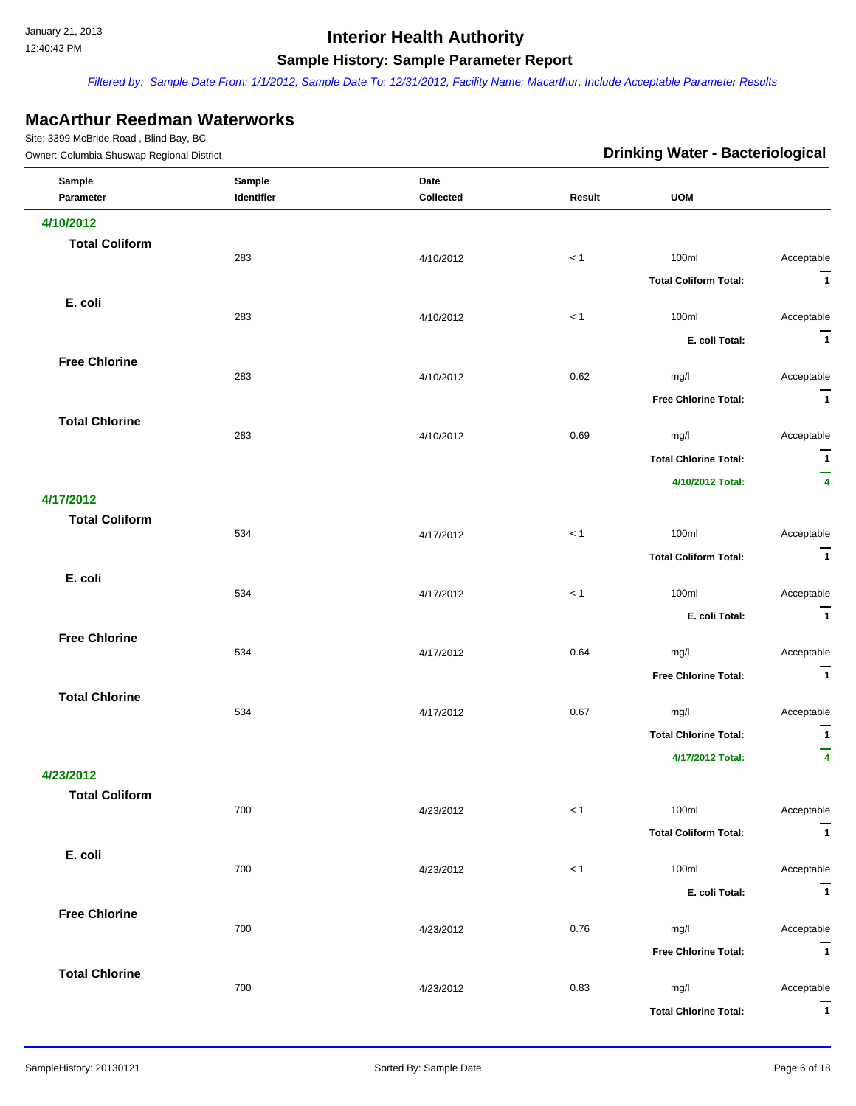*Filtered by: Sample Date From: 1/1/2012, Sample Date To: 12/31/2012, Facility Name: Macarthur, Include Acceptable Parameter Results*

### **MacArthur Reedman Waterworks**

| Owner: Columbia Shuswap Regional District |                      |                   | <b>Drinking Water - Bacteriological</b> |                                     |                                        |
|-------------------------------------------|----------------------|-------------------|-----------------------------------------|-------------------------------------|----------------------------------------|
| Sample<br>Parameter                       | Sample<br>Identifier | Date<br>Collected | Result                                  | <b>UOM</b>                          |                                        |
|                                           |                      |                   |                                         |                                     |                                        |
| 4/10/2012<br><b>Total Coliform</b>        |                      |                   |                                         |                                     |                                        |
|                                           | 283                  | 4/10/2012         | < 1                                     | 100ml                               | Acceptable                             |
|                                           |                      |                   |                                         | <b>Total Coliform Total:</b>        | $\overline{1}$                         |
| E. coli                                   | 283                  | 4/10/2012         | < 1                                     | 100ml                               | Acceptable                             |
|                                           |                      |                   |                                         | E. coli Total:                      | $\overline{1}$                         |
| <b>Free Chlorine</b>                      | 283                  |                   | 0.62                                    |                                     | Acceptable                             |
|                                           |                      | 4/10/2012         |                                         | mg/l<br><b>Free Chlorine Total:</b> | $\overline{1}$                         |
| <b>Total Chlorine</b>                     |                      |                   |                                         |                                     |                                        |
|                                           | 283                  | 4/10/2012         | 0.69                                    | mg/l                                | Acceptable                             |
|                                           |                      |                   |                                         | <b>Total Chlorine Total:</b>        | $\overline{1}$                         |
|                                           |                      |                   |                                         | 4/10/2012 Total:                    | —<br>$\overline{\mathbf{4}}$           |
| 4/17/2012<br><b>Total Coliform</b>        |                      |                   |                                         |                                     |                                        |
|                                           | 534                  | 4/17/2012         | $<1$                                    | 100ml                               | Acceptable                             |
|                                           |                      |                   |                                         | <b>Total Coliform Total:</b>        | $\overline{1}$                         |
| E. coli                                   | 534                  | 4/17/2012         | < 1                                     | 100ml                               | Acceptable                             |
|                                           |                      |                   |                                         | E. coli Total:                      | $\overline{1}$                         |
| <b>Free Chlorine</b>                      | 534                  | 4/17/2012         | 0.64                                    | mg/l                                | Acceptable                             |
|                                           |                      |                   |                                         | <b>Free Chlorine Total:</b>         | $\overline{1}$                         |
| <b>Total Chlorine</b>                     |                      |                   |                                         |                                     |                                        |
|                                           | 534                  | 4/17/2012         | 0.67                                    | mg/l                                | Acceptable<br>$\overline{\phantom{a}}$ |
|                                           |                      |                   |                                         | <b>Total Chlorine Total:</b>        | —                                      |
| 4/23/2012                                 |                      |                   |                                         | 4/17/2012 Total:                    | $\overline{\mathbf{4}}$                |
| <b>Total Coliform</b>                     |                      |                   |                                         |                                     |                                        |
|                                           | 700                  | 4/23/2012         | $< 1\,$                                 | 100ml                               | Acceptable                             |
|                                           |                      |                   |                                         | <b>Total Coliform Total:</b>        | $\overline{1}$                         |
| E. coli                                   | 700                  | 4/23/2012         | $< 1\,$                                 | 100ml                               | Acceptable                             |
|                                           |                      |                   |                                         | E. coli Total:                      | $\overline{1}$                         |
| <b>Free Chlorine</b>                      | 700                  | 4/23/2012         | 0.76                                    | mg/l                                | Acceptable                             |
|                                           |                      |                   |                                         | <b>Free Chlorine Total:</b>         | $\overline{1}$                         |
| <b>Total Chlorine</b>                     | 700                  | 4/23/2012         | 0.83                                    | mg/l                                | Acceptable                             |
|                                           |                      |                   |                                         | <b>Total Chlorine Total:</b>        | $\overline{1}$                         |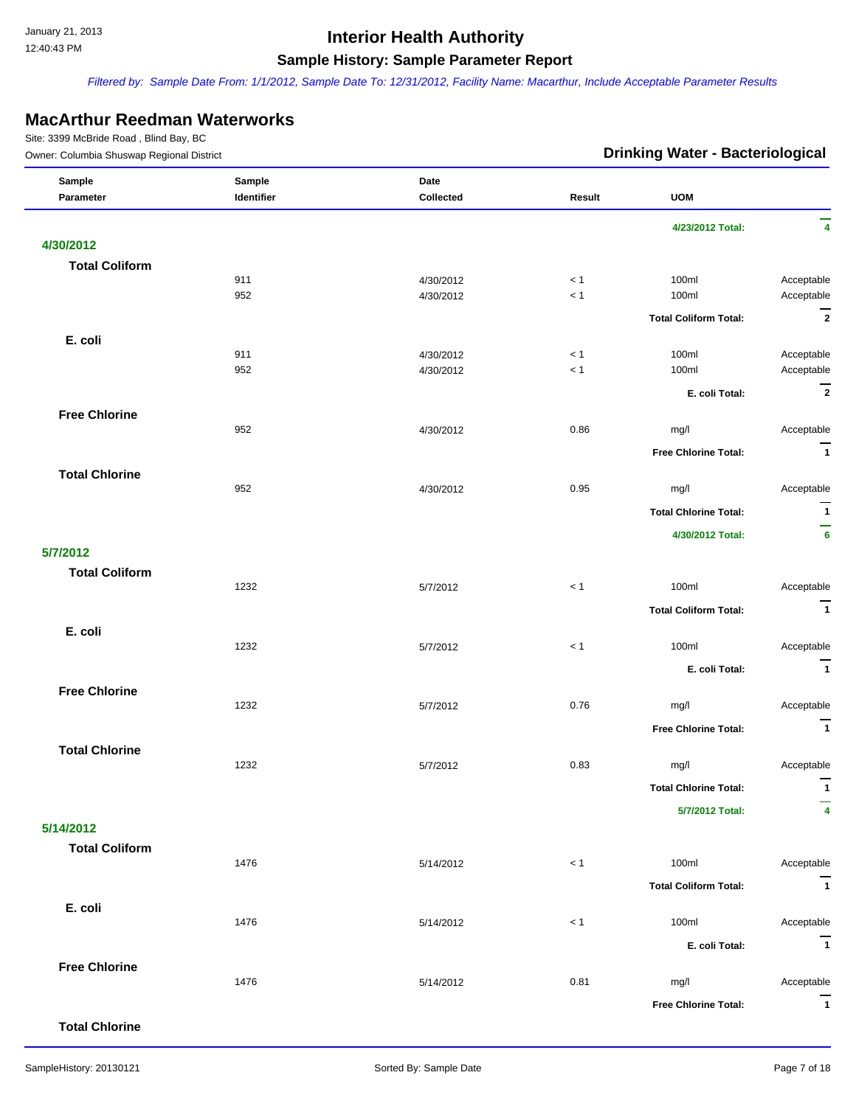*Filtered by: Sample Date From: 1/1/2012, Sample Date To: 12/31/2012, Facility Name: Macarthur, Include Acceptable Parameter Results*

#### **MacArthur Reedman Waterworks**

| Owner: Columbia Shuswap Regional District |            | <b>Drinking Water - Bacteriological</b> |        |                              |                         |
|-------------------------------------------|------------|-----------------------------------------|--------|------------------------------|-------------------------|
| Sample                                    | Sample     | Date                                    |        |                              |                         |
| Parameter                                 | Identifier | Collected                               | Result | <b>UOM</b>                   |                         |
|                                           |            |                                         |        | 4/23/2012 Total:             | 4                       |
| 4/30/2012                                 |            |                                         |        |                              |                         |
| <b>Total Coliform</b>                     |            |                                         |        |                              |                         |
|                                           | 911        | 4/30/2012                               | < 1    | 100ml                        | Acceptable              |
|                                           | 952        | 4/30/2012                               | $< 1$  | 100ml                        | Acceptable              |
|                                           |            |                                         |        | <b>Total Coliform Total:</b> | $\overline{2}$          |
|                                           |            |                                         |        |                              |                         |
| E. coli                                   |            |                                         |        |                              |                         |
|                                           | 911        | 4/30/2012                               | < 1    | 100ml                        | Acceptable              |
|                                           | 952        | 4/30/2012                               | < 1    | 100ml                        | Acceptable              |
|                                           |            |                                         |        | E. coli Total:               | $\overline{2}$          |
| <b>Free Chlorine</b>                      |            |                                         |        |                              |                         |
|                                           | 952        | 4/30/2012                               | 0.86   | mg/l                         | Acceptable              |
|                                           |            |                                         |        | <b>Free Chlorine Total:</b>  | $\overline{\mathbf{1}}$ |
|                                           |            |                                         |        |                              |                         |
| <b>Total Chlorine</b>                     |            |                                         |        |                              |                         |
|                                           | 952        | 4/30/2012                               | 0.95   | mg/l                         | Acceptable              |
|                                           |            |                                         |        | <b>Total Chlorine Total:</b> | $\mathbf{1}$            |
|                                           |            |                                         |        | 4/30/2012 Total:             | -<br>$6\phantom{a}$     |
| 5/7/2012                                  |            |                                         |        |                              |                         |
|                                           |            |                                         |        |                              |                         |
| <b>Total Coliform</b>                     | 1232       | 5/7/2012                                | < 1    | 100ml                        | Acceptable              |
|                                           |            |                                         |        |                              |                         |
|                                           |            |                                         |        | <b>Total Coliform Total:</b> | $\overline{1}$          |
| E. coli                                   |            |                                         |        |                              |                         |
|                                           | 1232       | 5/7/2012                                | $< 1$  | 100ml                        | Acceptable              |
|                                           |            |                                         |        | E. coli Total:               | $\overline{\mathbf{1}}$ |
| <b>Free Chlorine</b>                      |            |                                         |        |                              |                         |
|                                           | 1232       | 5/7/2012                                | 0.76   | mg/l                         | Acceptable              |
|                                           |            |                                         |        |                              | $\overline{1}$          |
|                                           |            |                                         |        | <b>Free Chlorine Total:</b>  |                         |
| <b>Total Chlorine</b>                     |            |                                         |        |                              |                         |
|                                           | 1232       | 5/7/2012                                | 0.83   | mg/l                         | Acceptable              |
|                                           |            |                                         |        | <b>Total Chlorine Total:</b> | $\mathbf{1}$            |
|                                           |            |                                         |        | 5/7/2012 Total:              | 4                       |
| 5/14/2012                                 |            |                                         |        |                              |                         |
|                                           |            |                                         |        |                              |                         |
| <b>Total Coliform</b>                     | 1476       | 5/14/2012                               | $<1$   | 100ml                        | Acceptable              |
|                                           |            |                                         |        |                              |                         |
|                                           |            |                                         |        | <b>Total Coliform Total:</b> | $\overline{1}$          |
| E. coli                                   |            |                                         |        |                              |                         |
|                                           | 1476       | 5/14/2012                               | $< 1$  | 100ml                        | Acceptable              |
|                                           |            |                                         |        | E. coli Total:               | $\overline{1}$          |
| <b>Free Chlorine</b>                      |            |                                         |        |                              |                         |
|                                           | 1476       | 5/14/2012                               | 0.81   | mg/l                         | Acceptable              |
|                                           |            |                                         |        |                              |                         |
|                                           |            |                                         |        | <b>Free Chlorine Total:</b>  | $\overline{\mathbf{1}}$ |
| <b>Total Chlorine</b>                     |            |                                         |        |                              |                         |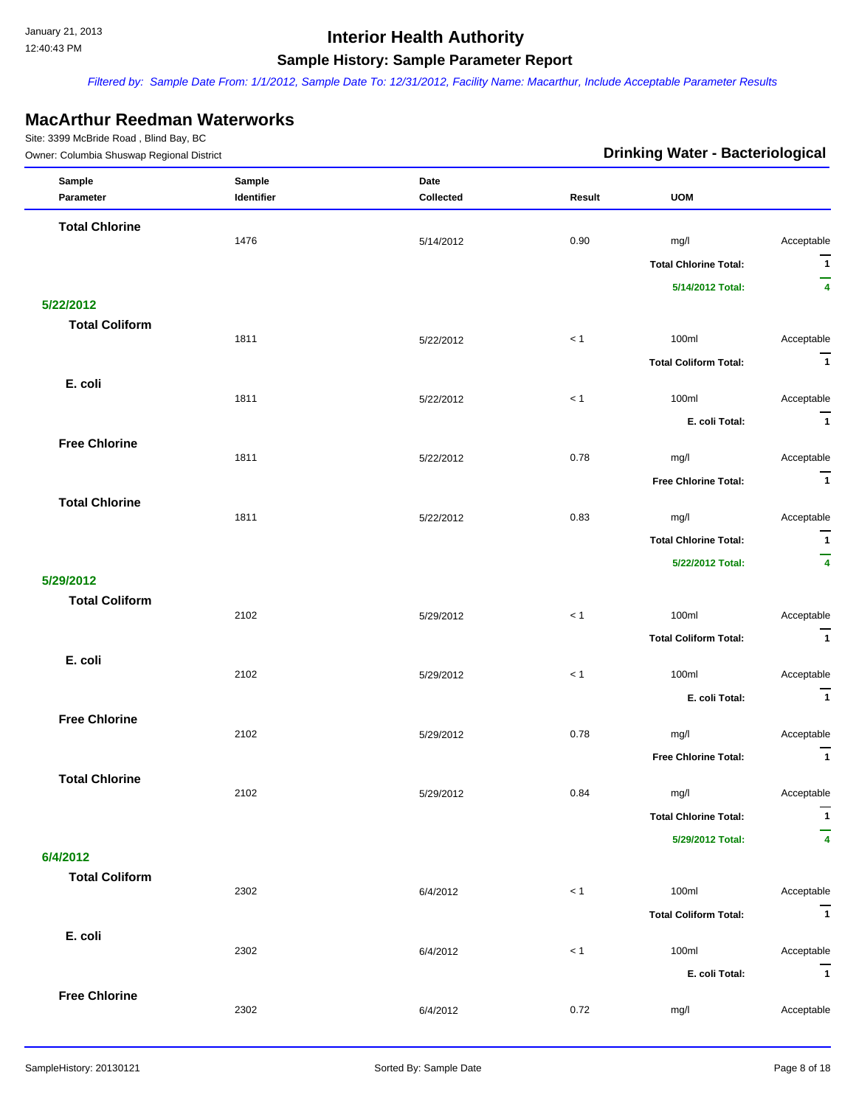*Filtered by: Sample Date From: 1/1/2012, Sample Date To: 12/31/2012, Facility Name: Macarthur, Include Acceptable Parameter Results*

### **MacArthur Reedman Waterworks**

| Owner: Columbia Shuswap Regional District |                      |                   | <b>Drinking Water - Bacteriological</b> |                              |                         |  |
|-------------------------------------------|----------------------|-------------------|-----------------------------------------|------------------------------|-------------------------|--|
| Sample<br>Parameter                       | Sample<br>Identifier | Date<br>Collected | Result                                  | <b>UOM</b>                   |                         |  |
| <b>Total Chlorine</b>                     |                      |                   |                                         |                              |                         |  |
|                                           | 1476                 | 5/14/2012         | 0.90                                    | mg/l                         | Acceptable              |  |
|                                           |                      |                   |                                         | <b>Total Chlorine Total:</b> | $\overline{1}$          |  |
|                                           |                      |                   |                                         | 5/14/2012 Total:             | -<br>4                  |  |
| 5/22/2012                                 |                      |                   |                                         |                              |                         |  |
| <b>Total Coliform</b>                     | 1811                 |                   | < 1                                     |                              |                         |  |
|                                           |                      | 5/22/2012         |                                         | 100ml                        | Acceptable              |  |
|                                           |                      |                   |                                         | <b>Total Coliform Total:</b> | $\overline{1}$          |  |
| E. coli                                   | 1811                 | 5/22/2012         | $< 1$                                   | 100ml                        | Acceptable              |  |
|                                           |                      |                   |                                         | E. coli Total:               | $\overline{1}$          |  |
| <b>Free Chlorine</b>                      |                      |                   |                                         |                              |                         |  |
|                                           | 1811                 | 5/22/2012         | 0.78                                    | mg/l                         | Acceptable              |  |
|                                           |                      |                   |                                         | <b>Free Chlorine Total:</b>  | $\overline{\mathbf{1}}$ |  |
| <b>Total Chlorine</b>                     |                      |                   |                                         |                              |                         |  |
|                                           | 1811                 | 5/22/2012         | 0.83                                    | mg/l                         | Acceptable              |  |
|                                           |                      |                   |                                         | <b>Total Chlorine Total:</b> | $\mathbf{1}$            |  |
|                                           |                      |                   |                                         | 5/22/2012 Total:             | $\overline{\mathbf{4}}$ |  |
| 5/29/2012                                 |                      |                   |                                         |                              |                         |  |
| <b>Total Coliform</b>                     |                      |                   |                                         |                              |                         |  |
|                                           | 2102                 | 5/29/2012         | $<1$                                    | 100ml                        | Acceptable              |  |
|                                           |                      |                   |                                         | <b>Total Coliform Total:</b> | $\overline{1}$          |  |
| E. coli                                   | 2102                 | 5/29/2012         | < 1                                     | 100ml                        | Acceptable              |  |
|                                           |                      |                   |                                         | E. coli Total:               | $\overline{1}$          |  |
| <b>Free Chlorine</b>                      |                      |                   |                                         |                              |                         |  |
|                                           | 2102                 | 5/29/2012         | 0.78                                    | mg/l                         | Acceptable              |  |
|                                           |                      |                   |                                         | <b>Free Chlorine Total:</b>  | $\overline{1}$          |  |
| <b>Total Chlorine</b>                     |                      |                   |                                         |                              |                         |  |
|                                           | 2102                 | 5/29/2012         | 0.84                                    | mg/l                         | Acceptable              |  |
|                                           |                      |                   |                                         | <b>Total Chlorine Total:</b> | $\mathbf{1}$            |  |
|                                           |                      |                   |                                         | 5/29/2012 Total:             | 4                       |  |
| 6/4/2012                                  |                      |                   |                                         |                              |                         |  |
| <b>Total Coliform</b>                     |                      |                   |                                         |                              |                         |  |
|                                           | 2302                 | 6/4/2012          | $<1$                                    | 100ml                        | Acceptable              |  |
|                                           |                      |                   |                                         | <b>Total Coliform Total:</b> | $\overline{\mathbf{1}}$ |  |
| E. coli                                   | 2302                 | 6/4/2012          | $< 1$                                   | 100ml                        | Acceptable              |  |
|                                           |                      |                   |                                         | E. coli Total:               | $\overline{\mathbf{1}}$ |  |
| <b>Free Chlorine</b>                      |                      |                   |                                         |                              |                         |  |
|                                           | 2302                 | 6/4/2012          | 0.72                                    | mg/l                         | Acceptable              |  |
|                                           |                      |                   |                                         |                              |                         |  |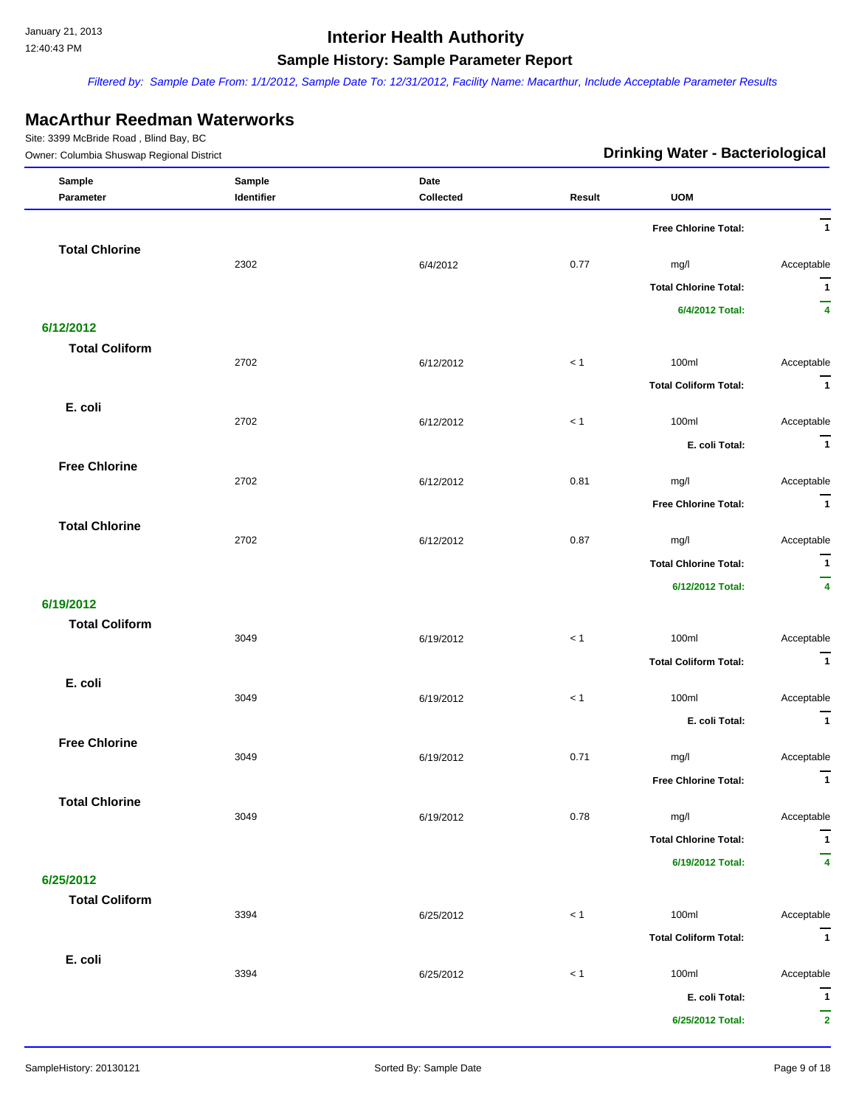*Filtered by: Sample Date From: 1/1/2012, Sample Date To: 12/31/2012, Facility Name: Macarthur, Include Acceptable Parameter Results*

#### **MacArthur Reedman Waterworks**

| Sample<br>Sample<br>Date                                     |                              |
|--------------------------------------------------------------|------------------------------|
| Collected<br><b>UOM</b><br>Parameter<br>Identifier<br>Result |                              |
| Free Chlorine Total:                                         | $\overline{1}$               |
| <b>Total Chlorine</b>                                        |                              |
| 2302<br>0.77<br>6/4/2012<br>mg/l                             | Acceptable                   |
| <b>Total Chlorine Total:</b>                                 | $\overline{1}$<br>-          |
| 6/4/2012 Total:                                              | $\overline{4}$               |
| 6/12/2012                                                    |                              |
| <b>Total Coliform</b><br>2702<br>100ml<br>< 1<br>6/12/2012   | Acceptable                   |
| <b>Total Coliform Total:</b>                                 | $\overline{1}$               |
| E. coli                                                      |                              |
| 2702<br>< 1<br>100ml<br>6/12/2012                            | Acceptable                   |
| E. coli Total:                                               | $\overline{1}$               |
| <b>Free Chlorine</b>                                         |                              |
| 2702<br>0.81<br>6/12/2012<br>mg/l                            | Acceptable                   |
| <b>Free Chlorine Total:</b>                                  | $\overline{1}$               |
| <b>Total Chlorine</b><br>2702<br>0.87<br>6/12/2012<br>mg/l   | Acceptable                   |
| <b>Total Chlorine Total:</b>                                 | $\overline{1}$               |
| 6/12/2012 Total:                                             | -<br>$\overline{\mathbf{4}}$ |
| 6/19/2012                                                    |                              |
| <b>Total Coliform</b>                                        |                              |
| 3049<br>< 1<br>100ml<br>6/19/2012                            | Acceptable                   |
| <b>Total Coliform Total:</b>                                 | $\overline{1}$               |
| E. coli<br>3049<br>100ml<br>< 1<br>6/19/2012                 | Acceptable                   |
|                                                              | $\overline{1}$               |
| E. coli Total:<br><b>Free Chlorine</b>                       |                              |
| 0.71<br>3049<br>6/19/2012<br>mg/l                            | Acceptable                   |
| Free Chlorine Total:                                         | $\mathbf{1}$                 |
| <b>Total Chlorine</b>                                        |                              |
| 3049<br>0.78<br>6/19/2012<br>mg/l                            | Acceptable                   |
| <b>Total Chlorine Total:</b>                                 | $\overline{1}$               |
| 6/19/2012 Total:                                             | 4                            |
| 6/25/2012                                                    |                              |
| <b>Total Coliform</b><br>3394<br>< 1<br>100ml<br>6/25/2012   | Acceptable                   |
| <b>Total Coliform Total:</b>                                 | $\overline{1}$               |
| E. coli                                                      |                              |
| 3394<br>100ml<br>6/25/2012<br>$< 1$                          | Acceptable                   |
| E. coli Total:                                               | $\overline{1}$               |
| 6/25/2012 Total:                                             | -<br>$\mathbf{2}$            |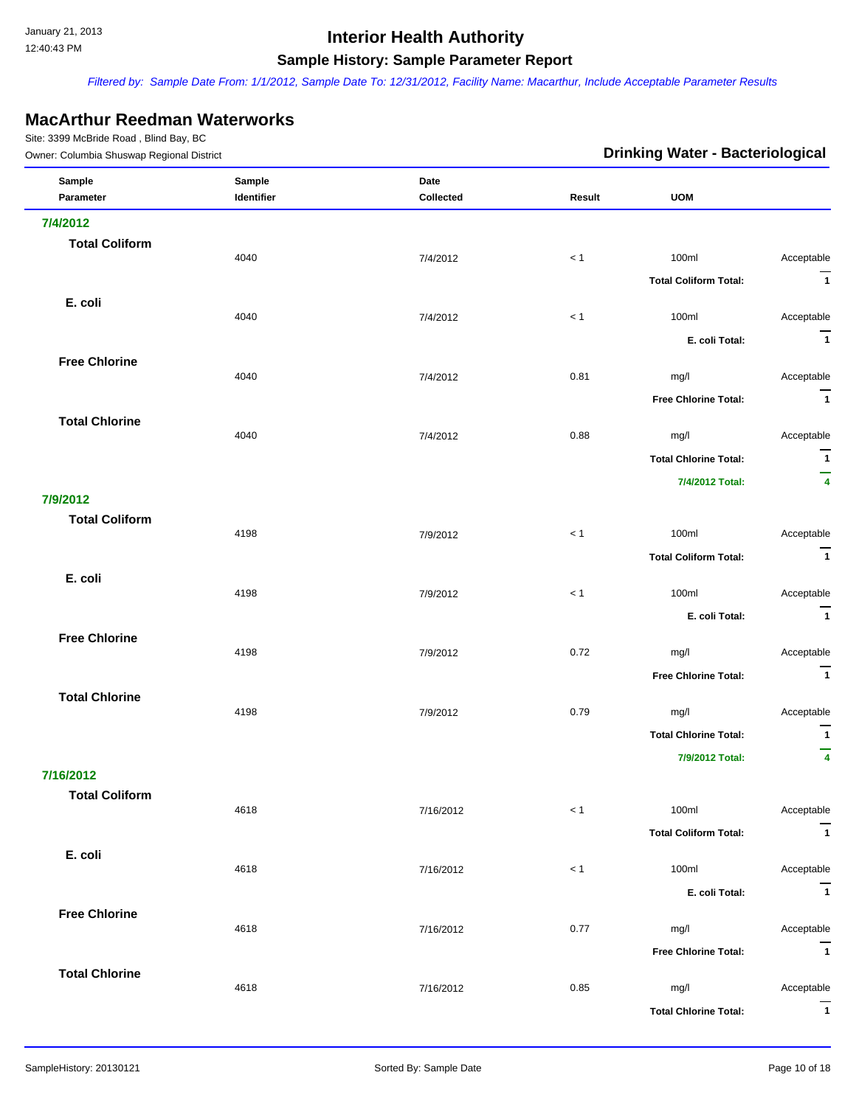*Filtered by: Sample Date From: 1/1/2012, Sample Date To: 12/31/2012, Facility Name: Macarthur, Include Acceptable Parameter Results*

### **MacArthur Reedman Waterworks**

| Owner: Columbia Shuswap Regional District |                      |                   | <b>Drinking Water - Bacteriological</b> |                              |                              |
|-------------------------------------------|----------------------|-------------------|-----------------------------------------|------------------------------|------------------------------|
| Sample<br>Parameter                       | Sample<br>Identifier | Date<br>Collected | Result                                  | <b>UOM</b>                   |                              |
| 7/4/2012                                  |                      |                   |                                         |                              |                              |
| <b>Total Coliform</b>                     |                      |                   |                                         |                              |                              |
|                                           | 4040                 | 7/4/2012          | < 1                                     | 100ml                        | Acceptable                   |
|                                           |                      |                   |                                         | <b>Total Coliform Total:</b> | $\overline{1}$               |
| E. coli                                   | 4040                 | 7/4/2012          | < 1                                     | 100ml                        | Acceptable                   |
|                                           |                      |                   |                                         | E. coli Total:               | $\overline{1}$               |
| <b>Free Chlorine</b>                      |                      |                   |                                         |                              |                              |
|                                           | 4040                 | 7/4/2012          | 0.81                                    | mg/l                         | Acceptable<br>$\overline{1}$ |
| <b>Total Chlorine</b>                     |                      |                   |                                         | <b>Free Chlorine Total:</b>  |                              |
|                                           | 4040                 | 7/4/2012          | 0.88                                    | mg/l                         | Acceptable                   |
|                                           |                      |                   |                                         | <b>Total Chlorine Total:</b> | $\overline{1}$               |
|                                           |                      |                   |                                         | 7/4/2012 Total:              | —<br>$\overline{\mathbf{4}}$ |
| 7/9/2012                                  |                      |                   |                                         |                              |                              |
| <b>Total Coliform</b>                     | 4198                 | 7/9/2012          | $<1$                                    | 100ml                        | Acceptable                   |
|                                           |                      |                   |                                         | <b>Total Coliform Total:</b> | $\overline{1}$               |
| E. coli                                   | 4198                 | 7/9/2012          | < 1                                     | 100ml                        | Acceptable                   |
|                                           |                      |                   |                                         | E. coli Total:               | $\overline{1}$               |
| <b>Free Chlorine</b>                      |                      |                   |                                         |                              |                              |
|                                           | 4198                 | 7/9/2012          | 0.72                                    | mg/l                         | Acceptable                   |
|                                           |                      |                   |                                         | <b>Free Chlorine Total:</b>  | $\overline{1}$               |
| <b>Total Chlorine</b>                     | 4198                 | 7/9/2012          | 0.79                                    | mg/l                         | Acceptable                   |
|                                           |                      |                   |                                         | <b>Total Chlorine Total:</b> | $\overline{\phantom{a}}$     |
|                                           |                      |                   |                                         | 7/9/2012 Total:              | —<br>$\overline{\mathbf{4}}$ |
| 7/16/2012                                 |                      |                   |                                         |                              |                              |
| <b>Total Coliform</b>                     | 4618                 | 7/16/2012         | $< 1\,$                                 | 100ml                        | Acceptable                   |
|                                           |                      |                   |                                         | <b>Total Coliform Total:</b> | $\overline{1}$               |
| E. coli                                   | 4618                 | 7/16/2012         | < 1                                     | 100ml                        | Acceptable                   |
|                                           |                      |                   |                                         | E. coli Total:               | $\overline{1}$               |
| <b>Free Chlorine</b>                      |                      |                   |                                         |                              |                              |
|                                           | 4618                 | 7/16/2012         | 0.77                                    | mg/l                         | Acceptable                   |
|                                           |                      |                   |                                         | <b>Free Chlorine Total:</b>  | $\overline{1}$               |
| <b>Total Chlorine</b>                     | 4618                 | 7/16/2012         | 0.85                                    | mg/l                         | Acceptable                   |
|                                           |                      |                   |                                         | <b>Total Chlorine Total:</b> | $\overline{1}$               |
|                                           |                      |                   |                                         |                              |                              |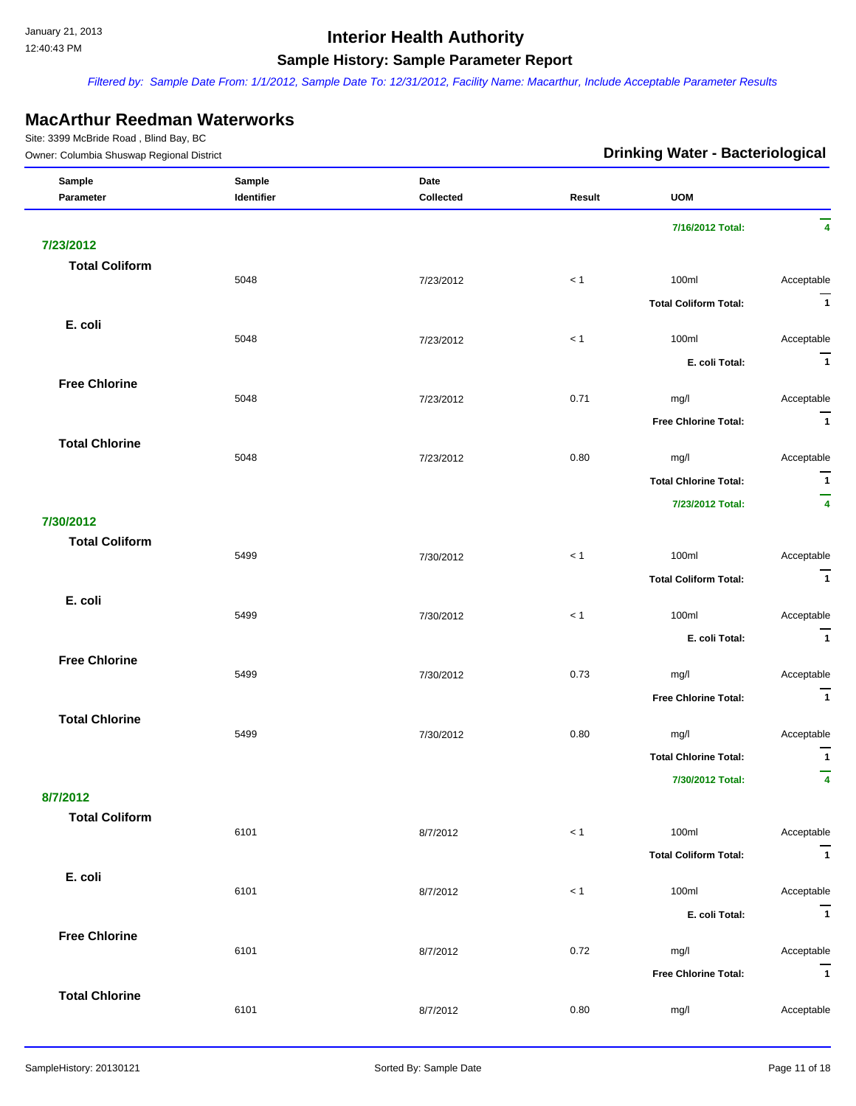*Filtered by: Sample Date From: 1/1/2012, Sample Date To: 12/31/2012, Facility Name: Macarthur, Include Acceptable Parameter Results*

#### **MacArthur Reedman Waterworks**

| Owner: Columbia Shuswap Regional District |                      |                   | <b>Drinking Water - Bacteriological</b> |                              |                              |
|-------------------------------------------|----------------------|-------------------|-----------------------------------------|------------------------------|------------------------------|
| Sample<br>Parameter                       | Sample<br>Identifier | Date<br>Collected | Result                                  | <b>UOM</b>                   |                              |
|                                           |                      |                   |                                         | 7/16/2012 Total:             | 4                            |
| 7/23/2012                                 |                      |                   |                                         |                              |                              |
| <b>Total Coliform</b>                     |                      |                   |                                         |                              |                              |
|                                           | 5048                 | 7/23/2012         | < 1                                     | 100ml                        | Acceptable<br>$\overline{1}$ |
|                                           |                      |                   |                                         | <b>Total Coliform Total:</b> |                              |
| E. coli                                   | 5048                 | 7/23/2012         | $<1$                                    | 100ml                        | Acceptable                   |
|                                           |                      |                   |                                         | E. coli Total:               | $\overline{1}$               |
| <b>Free Chlorine</b>                      |                      |                   |                                         |                              |                              |
|                                           | 5048                 | 7/23/2012         | 0.71                                    | mg/l                         | Acceptable                   |
|                                           |                      |                   |                                         | <b>Free Chlorine Total:</b>  | $\overline{1}$               |
| <b>Total Chlorine</b>                     |                      |                   |                                         |                              |                              |
|                                           | 5048                 | 7/23/2012         | 0.80                                    | mg/l                         | Acceptable<br>$\overline{1}$ |
|                                           |                      |                   |                                         | <b>Total Chlorine Total:</b> | -                            |
| 7/30/2012                                 |                      |                   |                                         | 7/23/2012 Total:             | $\overline{\mathbf{4}}$      |
| <b>Total Coliform</b>                     |                      |                   |                                         |                              |                              |
|                                           | 5499                 | 7/30/2012         | $<1$                                    | 100ml                        | Acceptable                   |
|                                           |                      |                   |                                         | <b>Total Coliform Total:</b> | $\overline{\mathbf{1}}$      |
| E. coli                                   |                      |                   |                                         |                              |                              |
|                                           | 5499                 | 7/30/2012         | < 1                                     | 100ml                        | Acceptable                   |
|                                           |                      |                   |                                         | E. coli Total:               | $\overline{\mathbf{1}}$      |
| <b>Free Chlorine</b>                      | 5499                 | 7/30/2012         | 0.73                                    | mg/l                         | Acceptable                   |
|                                           |                      |                   |                                         | <b>Free Chlorine Total:</b>  | $\overline{1}$               |
| <b>Total Chlorine</b>                     |                      |                   |                                         |                              |                              |
|                                           | 5499                 | 7/30/2012         | 0.80                                    | mg/l                         | Acceptable                   |
|                                           |                      |                   |                                         | <b>Total Chlorine Total:</b> | $\mathbf{1}$                 |
|                                           |                      |                   |                                         | 7/30/2012 Total:             | 4                            |
| 8/7/2012                                  |                      |                   |                                         |                              |                              |
| <b>Total Coliform</b>                     | 6101                 | 8/7/2012          | < 1                                     | 100ml                        | Acceptable                   |
|                                           |                      |                   |                                         | <b>Total Coliform Total:</b> | $\overline{1}$               |
| E. coli                                   |                      |                   |                                         |                              |                              |
|                                           | 6101                 | 8/7/2012          | < 1                                     | 100ml                        | Acceptable                   |
|                                           |                      |                   |                                         | E. coli Total:               | $\overline{1}$               |
| <b>Free Chlorine</b>                      | 6101                 |                   | 0.72                                    | mg/l                         | Acceptable                   |
|                                           |                      | 8/7/2012          |                                         |                              | $\overline{1}$               |
| <b>Total Chlorine</b>                     |                      |                   |                                         | <b>Free Chlorine Total:</b>  |                              |
|                                           | 6101                 | 8/7/2012          | 0.80                                    | mg/l                         | Acceptable                   |
|                                           |                      |                   |                                         |                              |                              |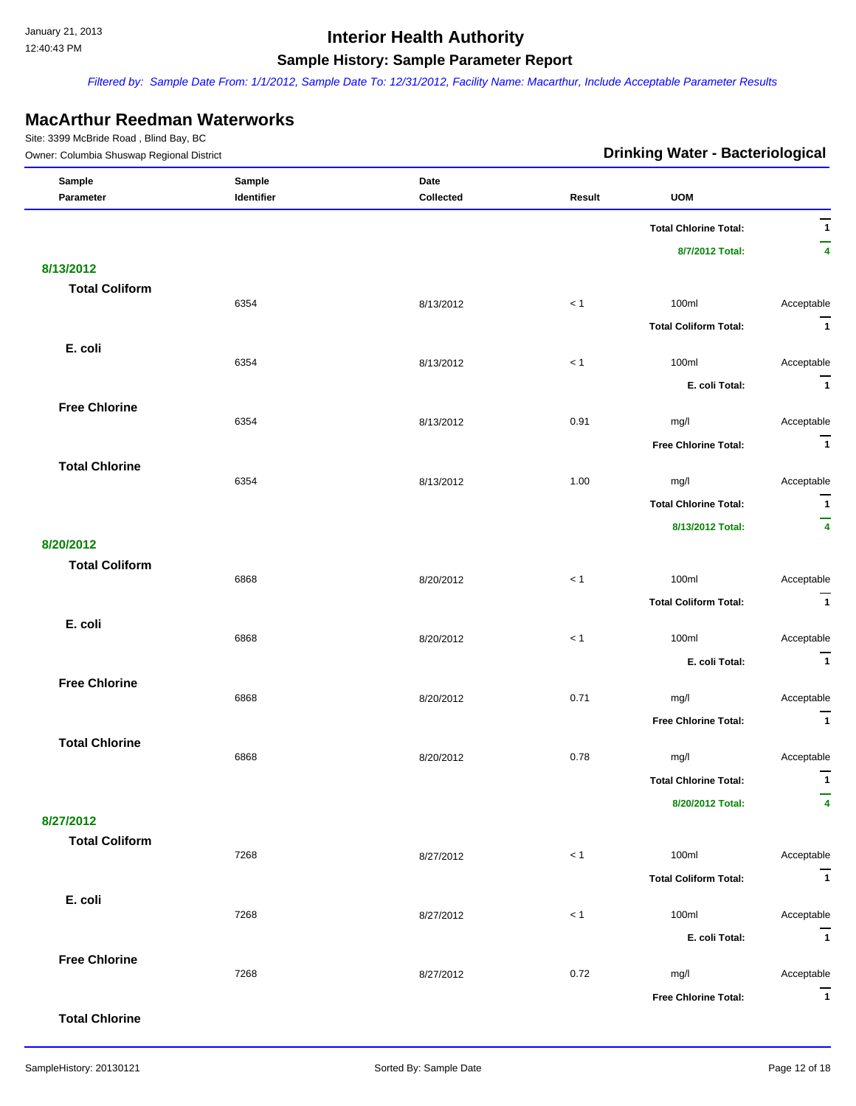*Filtered by: Sample Date From: 1/1/2012, Sample Date To: 12/31/2012, Facility Name: Macarthur, Include Acceptable Parameter Results*

#### **MacArthur Reedman Waterworks**

Site: 3399 McBride Road , Blind Bay, BC

| Owner: Columbia Shuswap Regional District |            |           | <b>Drinking Water - Bacteriological</b> |                              |                          |
|-------------------------------------------|------------|-----------|-----------------------------------------|------------------------------|--------------------------|
| Sample                                    | Sample     | Date      |                                         |                              |                          |
| Parameter                                 | Identifier | Collected | Result                                  | <b>UOM</b>                   | $\overline{\phantom{0}}$ |
|                                           |            |           |                                         | <b>Total Chlorine Total:</b> | $\overline{1}$           |
|                                           |            |           |                                         | 8/7/2012 Total:              | $\overline{4}$           |
| 8/13/2012                                 |            |           |                                         |                              |                          |
| <b>Total Coliform</b>                     | 6354       | 8/13/2012 | < 1                                     | 100ml                        | Acceptable               |
|                                           |            |           |                                         |                              | $\overline{1}$           |
|                                           |            |           |                                         | <b>Total Coliform Total:</b> |                          |
| E. coli                                   | 6354       | 8/13/2012 | < 1                                     | 100ml                        | Acceptable               |
|                                           |            |           |                                         | E. coli Total:               | $\overline{1}$           |
| <b>Free Chlorine</b>                      |            |           |                                         |                              |                          |
|                                           | 6354       | 8/13/2012 | 0.91                                    | mg/l                         | Acceptable               |
|                                           |            |           |                                         | <b>Free Chlorine Total:</b>  | $\overline{1}$           |
| <b>Total Chlorine</b>                     |            |           |                                         |                              |                          |
|                                           | 6354       | 8/13/2012 | 1.00                                    | mg/l                         | Acceptable               |
|                                           |            |           |                                         | <b>Total Chlorine Total:</b> | $\overline{1}$           |
|                                           |            |           |                                         | 8/13/2012 Total:             | $\overline{4}$           |
| 8/20/2012                                 |            |           |                                         |                              |                          |
| <b>Total Coliform</b>                     | 6868       | 8/20/2012 | < 1                                     | 100ml                        | Acceptable               |
|                                           |            |           |                                         | <b>Total Coliform Total:</b> | $\overline{\mathbf{1}}$  |
| E. coli                                   |            |           |                                         |                              |                          |
|                                           | 6868       | 8/20/2012 | < 1                                     | 100ml                        | Acceptable               |
|                                           |            |           |                                         | E. coli Total:               | $\overline{1}$           |
| <b>Free Chlorine</b>                      |            |           |                                         |                              |                          |
|                                           | 6868       | 8/20/2012 | 0.71                                    | mg/l                         | Acceptable               |
|                                           |            |           |                                         | <b>Free Chlorine Total:</b>  | $\overline{1}$           |
| <b>Total Chlorine</b>                     | 6868       | 8/20/2012 | 0.78                                    | mg/l                         | Acceptable               |
|                                           |            |           |                                         | <b>Total Chlorine Total:</b> | $\mathbf{1}$             |
|                                           |            |           |                                         | 8/20/2012 Total:             | 4                        |
| 8/27/2012                                 |            |           |                                         |                              |                          |
| <b>Total Coliform</b>                     |            |           |                                         |                              |                          |
|                                           | 7268       | 8/27/2012 | < 1                                     | 100ml                        | Acceptable               |
|                                           |            |           |                                         | <b>Total Coliform Total:</b> | $\overline{\mathbf{1}}$  |
| E. coli                                   |            |           |                                         |                              |                          |
|                                           | 7268       | 8/27/2012 | < 1                                     | 100ml                        | Acceptable               |
|                                           |            |           |                                         | E. coli Total:               | $\overline{1}$           |
| <b>Free Chlorine</b>                      | 7268       | 8/27/2012 | 0.72                                    | mg/l                         | Acceptable               |
|                                           |            |           |                                         | <b>Free Chlorine Total:</b>  | $\overline{\mathbf{1}}$  |
|                                           |            |           |                                         |                              |                          |

**Total Chlorine**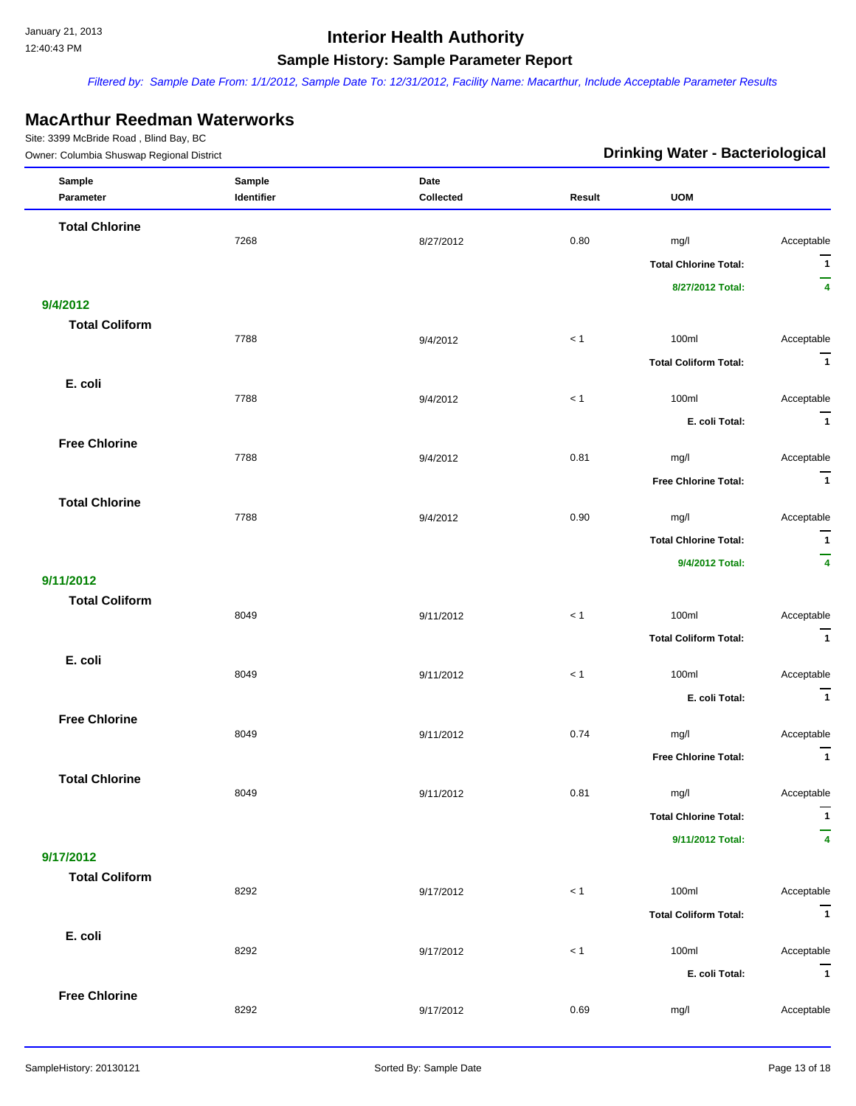*Filtered by: Sample Date From: 1/1/2012, Sample Date To: 12/31/2012, Facility Name: Macarthur, Include Acceptable Parameter Results*

#### **MacArthur Reedman Waterworks**

| $\frac{1}{2}$<br>Owner: Columbia Shuswap Regional District |                      |                   |         | <b>Drinking Water - Bacteriological</b> |                              |
|------------------------------------------------------------|----------------------|-------------------|---------|-----------------------------------------|------------------------------|
| Sample<br>Parameter                                        | Sample<br>Identifier | Date<br>Collected | Result  | <b>UOM</b>                              |                              |
| <b>Total Chlorine</b>                                      |                      |                   |         |                                         |                              |
|                                                            | 7268                 | 8/27/2012         | 0.80    | mg/l                                    | Acceptable                   |
|                                                            |                      |                   |         | <b>Total Chlorine Total:</b>            | $\mathbf{1}$                 |
|                                                            |                      |                   |         | 8/27/2012 Total:                        | —<br>$\overline{\mathbf{4}}$ |
| 9/4/2012                                                   |                      |                   |         |                                         |                              |
| <b>Total Coliform</b>                                      |                      |                   |         |                                         |                              |
|                                                            | 7788                 | 9/4/2012          | $< 1\,$ | 100ml                                   | Acceptable                   |
|                                                            |                      |                   |         | <b>Total Coliform Total:</b>            | $\overline{1}$               |
| E. coli                                                    | 7788                 | 9/4/2012          | < 1     | 100ml                                   | Acceptable                   |
|                                                            |                      |                   |         |                                         | $\overline{1}$               |
|                                                            |                      |                   |         | E. coli Total:                          |                              |
| <b>Free Chlorine</b>                                       | 7788                 | 9/4/2012          | 0.81    | mg/l                                    | Acceptable                   |
|                                                            |                      |                   |         | <b>Free Chlorine Total:</b>             | $\overline{1}$               |
| <b>Total Chlorine</b>                                      |                      |                   |         |                                         |                              |
|                                                            | 7788                 | 9/4/2012          | 0.90    | mg/l                                    | Acceptable                   |
|                                                            |                      |                   |         | <b>Total Chlorine Total:</b>            | $\mathbf{1}$                 |
|                                                            |                      |                   |         | 9/4/2012 Total:                         | –<br>$\overline{4}$          |
| 9/11/2012                                                  |                      |                   |         |                                         |                              |
| <b>Total Coliform</b>                                      |                      |                   |         |                                         |                              |
|                                                            | 8049                 | 9/11/2012         | < 1     | 100ml                                   | Acceptable                   |
|                                                            |                      |                   |         | <b>Total Coliform Total:</b>            | $\overline{1}$               |
| E. coli                                                    | 8049                 |                   | $< 1\,$ | 100ml                                   | Acceptable                   |
|                                                            |                      | 9/11/2012         |         |                                         |                              |
|                                                            |                      |                   |         | E. coli Total:                          | $\overline{\mathbf{1}}$      |
| <b>Free Chlorine</b>                                       | 8049                 | 9/11/2012         | 0.74    | mg/l                                    | Acceptable                   |
|                                                            |                      |                   |         | <b>Free Chlorine Total:</b>             | $\overline{\phantom{a}}$     |
| <b>Total Chlorine</b>                                      |                      |                   |         |                                         |                              |
|                                                            | 8049                 | 9/11/2012         | 0.81    | mg/l                                    | Acceptable                   |
|                                                            |                      |                   |         | <b>Total Chlorine Total:</b>            | $\mathbf{1}$                 |
|                                                            |                      |                   |         | 9/11/2012 Total:                        | 4                            |
| 9/17/2012                                                  |                      |                   |         |                                         |                              |
| <b>Total Coliform</b>                                      |                      |                   |         |                                         |                              |
|                                                            | 8292                 | 9/17/2012         | < 1     | 100ml                                   | Acceptable                   |
|                                                            |                      |                   |         | <b>Total Coliform Total:</b>            | $\overline{\mathbf{1}}$      |
| E. coli                                                    |                      |                   |         |                                         |                              |
|                                                            | 8292                 | 9/17/2012         | < 1     | 100ml                                   | Acceptable                   |
|                                                            |                      |                   |         | E. coli Total:                          | $\overline{1}$               |
| <b>Free Chlorine</b>                                       | 8292                 | 9/17/2012         | 0.69    | mg/l                                    | Acceptable                   |
|                                                            |                      |                   |         |                                         |                              |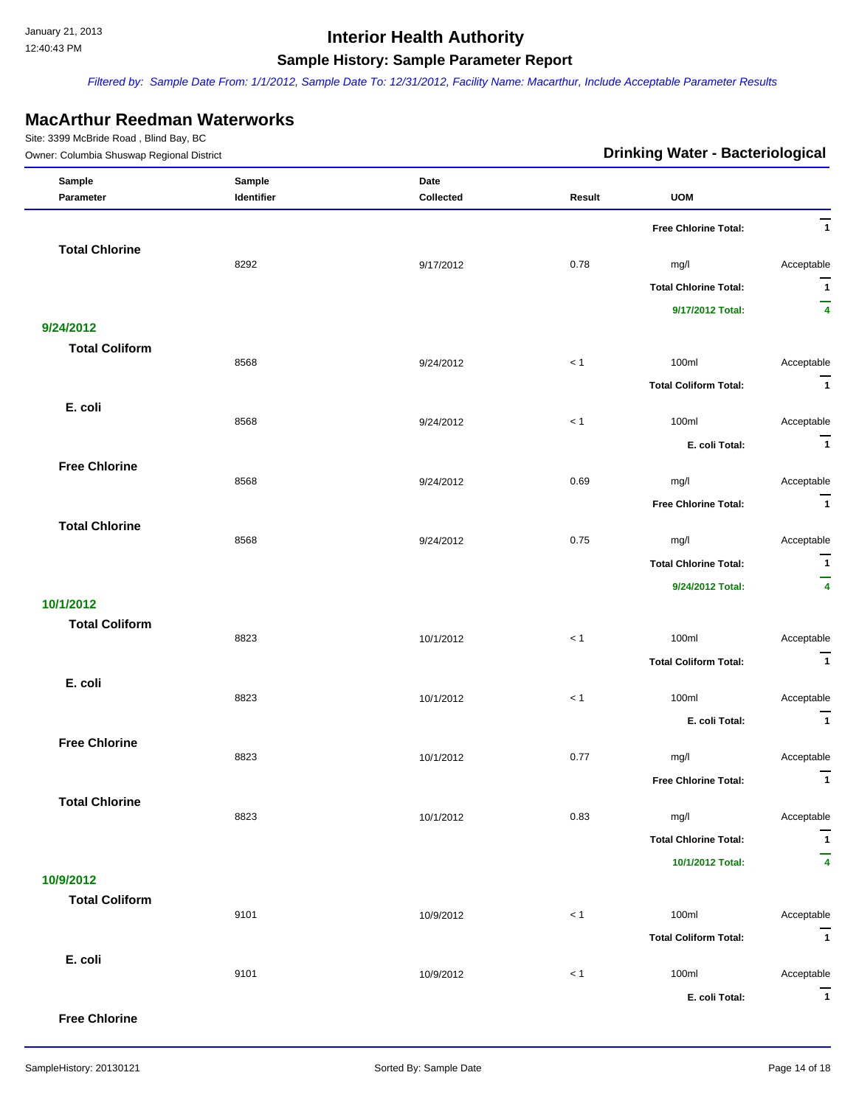*Filtered by: Sample Date From: 1/1/2012, Sample Date To: 12/31/2012, Facility Name: Macarthur, Include Acceptable Parameter Results*

#### **MacArthur Reedman Waterworks**

Site: 3399 McBride Road , Blind Bay, BC

| Owner: Columbia Shuswap Regional District |            |           |        | <b>Drinking Water - Bacteriological</b> |                              |
|-------------------------------------------|------------|-----------|--------|-----------------------------------------|------------------------------|
| Sample                                    | Sample     | Date      |        |                                         |                              |
| Parameter                                 | Identifier | Collected | Result | <b>UOM</b>                              |                              |
|                                           |            |           |        | <b>Free Chlorine Total:</b>             | $\overline{1}$               |
| <b>Total Chlorine</b>                     |            |           |        |                                         |                              |
|                                           | 8292       | 9/17/2012 | 0.78   | mg/l                                    | Acceptable                   |
|                                           |            |           |        | <b>Total Chlorine Total:</b>            | $\overline{1}$<br>-          |
|                                           |            |           |        | 9/17/2012 Total:                        | $\overline{4}$               |
| 9/24/2012<br><b>Total Coliform</b>        |            |           |        |                                         |                              |
|                                           | 8568       | 9/24/2012 | < 1    | 100ml                                   | Acceptable                   |
|                                           |            |           |        | <b>Total Coliform Total:</b>            | $\overline{\mathbf{1}}$      |
| E. coli                                   |            |           |        |                                         |                              |
|                                           | 8568       | 9/24/2012 | < 1    | 100ml                                   | Acceptable                   |
|                                           |            |           |        | E. coli Total:                          | $\overline{1}$               |
| <b>Free Chlorine</b>                      | 8568       | 9/24/2012 | 0.69   | mg/l                                    | Acceptable                   |
|                                           |            |           |        | <b>Free Chlorine Total:</b>             | $\overline{1}$               |
| <b>Total Chlorine</b>                     |            |           |        |                                         |                              |
|                                           | 8568       | 9/24/2012 | 0.75   | mg/l                                    | Acceptable                   |
|                                           |            |           |        | <b>Total Chlorine Total:</b>            | $\overline{1}$               |
|                                           |            |           |        | 9/24/2012 Total:                        | -<br>$\overline{\mathbf{4}}$ |
| 10/1/2012                                 |            |           |        |                                         |                              |
| <b>Total Coliform</b>                     |            |           |        |                                         |                              |
|                                           | 8823       | 10/1/2012 | < 1    | 100ml                                   | Acceptable                   |
|                                           |            |           |        | <b>Total Coliform Total:</b>            | $\overline{1}$               |
| E. coli                                   | 8823       | 10/1/2012 | < 1    | 100ml                                   | Acceptable                   |
|                                           |            |           |        | E. coli Total:                          | $\overline{1}$               |
| <b>Free Chlorine</b>                      |            |           |        |                                         |                              |
|                                           | 8823       | 10/1/2012 | 0.77   | mg/l                                    | Acceptable                   |
|                                           |            |           |        | Free Chlorine Total:                    | $\mathbf{1}$                 |
| <b>Total Chlorine</b>                     |            |           |        |                                         |                              |
|                                           | 8823       | 10/1/2012 | 0.83   | mg/l                                    | Acceptable                   |
|                                           |            |           |        | <b>Total Chlorine Total:</b>            | $\mathbf{1}$                 |
| 10/9/2012                                 |            |           |        | 10/1/2012 Total:                        | 4                            |
| <b>Total Coliform</b>                     |            |           |        |                                         |                              |
|                                           | 9101       | 10/9/2012 | < 1    | 100ml                                   | Acceptable                   |
|                                           |            |           |        | <b>Total Coliform Total:</b>            | $\overline{1}$               |
| E. coli                                   |            |           |        |                                         |                              |
|                                           | 9101       | 10/9/2012 | $< 1$  | 100ml                                   | Acceptable                   |
|                                           |            |           |        | E. coli Total:                          | $\overline{1}$               |

**Free Chlorine**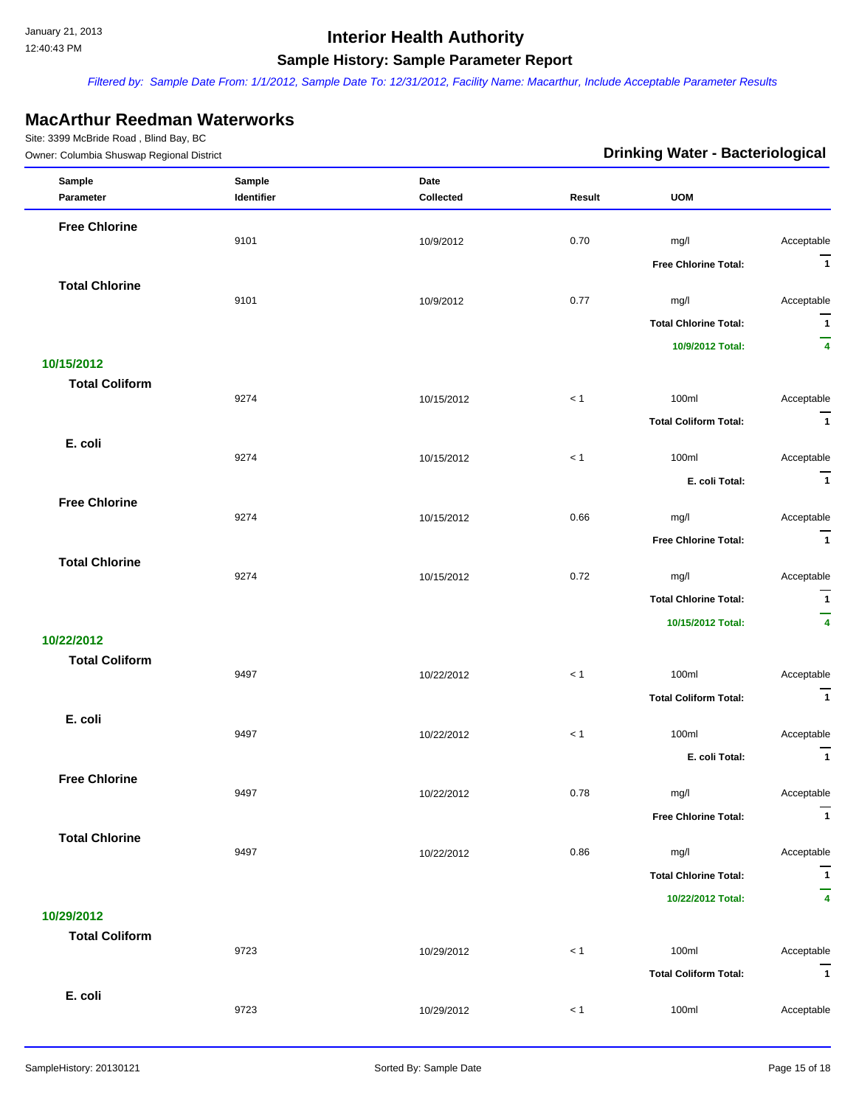*Filtered by: Sample Date From: 1/1/2012, Sample Date To: 12/31/2012, Facility Name: Macarthur, Include Acceptable Parameter Results*

### **MacArthur Reedman Waterworks**

| Owner: Columbia Shuswap Regional District |            |            | <b>Drinking Water - Bacteriological</b> |                              |                         |
|-------------------------------------------|------------|------------|-----------------------------------------|------------------------------|-------------------------|
| Sample                                    | Sample     | Date       |                                         |                              |                         |
| Parameter                                 | Identifier | Collected  | Result                                  | <b>UOM</b>                   |                         |
| <b>Free Chlorine</b>                      |            |            |                                         |                              |                         |
|                                           | 9101       | 10/9/2012  | 0.70                                    | mg/l                         | Acceptable              |
|                                           |            |            |                                         | <b>Free Chlorine Total:</b>  | $\overline{1}$          |
| <b>Total Chlorine</b>                     | 9101       | 10/9/2012  | 0.77                                    | mg/l                         | Acceptable              |
|                                           |            |            |                                         |                              | $\overline{1}$          |
|                                           |            |            |                                         | <b>Total Chlorine Total:</b> | -                       |
| 10/15/2012                                |            |            |                                         | 10/9/2012 Total:             | 4                       |
| <b>Total Coliform</b>                     |            |            |                                         |                              |                         |
|                                           | 9274       | 10/15/2012 | $<1$                                    | 100ml                        | Acceptable              |
|                                           |            |            |                                         | <b>Total Coliform Total:</b> | $\overline{1}$          |
| E. coli                                   |            |            |                                         |                              |                         |
|                                           | 9274       | 10/15/2012 | < 1                                     | 100ml                        | Acceptable              |
|                                           |            |            |                                         | E. coli Total:               | $\overline{\mathbf{1}}$ |
| <b>Free Chlorine</b>                      |            |            |                                         |                              |                         |
|                                           | 9274       | 10/15/2012 | 0.66                                    | mg/l                         | Acceptable              |
|                                           |            |            |                                         | Free Chlorine Total:         | $\overline{1}$          |
| <b>Total Chlorine</b>                     | 9274       | 10/15/2012 | 0.72                                    | mg/l                         | Acceptable              |
|                                           |            |            |                                         | <b>Total Chlorine Total:</b> | $\overline{1}$          |
|                                           |            |            |                                         |                              | -                       |
| 10/22/2012                                |            |            |                                         | 10/15/2012 Total:            | $\overline{\mathbf{4}}$ |
| <b>Total Coliform</b>                     |            |            |                                         |                              |                         |
|                                           | 9497       | 10/22/2012 | $<1$                                    | 100ml                        | Acceptable              |
|                                           |            |            |                                         | <b>Total Coliform Total:</b> | $\overline{\mathbf{1}}$ |
| E. coli                                   |            |            |                                         |                              |                         |
|                                           | 9497       | 10/22/2012 | $<1$                                    | 100ml                        | Acceptable              |
|                                           |            |            |                                         | E. coli Total:               | $\mathbf{1}$            |
| <b>Free Chlorine</b>                      | 9497       | 10/22/2012 | 0.78                                    | mg/l                         | Acceptable              |
|                                           |            |            |                                         |                              | $\overline{1}$          |
|                                           |            |            |                                         | <b>Free Chlorine Total:</b>  |                         |
| <b>Total Chlorine</b>                     | 9497       | 10/22/2012 | 0.86                                    | mg/l                         | Acceptable              |
|                                           |            |            |                                         | <b>Total Chlorine Total:</b> | $\mathbf{1}$            |
|                                           |            |            |                                         | 10/22/2012 Total:            | -<br>4                  |
| 10/29/2012                                |            |            |                                         |                              |                         |
| <b>Total Coliform</b>                     |            |            |                                         |                              |                         |
|                                           | 9723       | 10/29/2012 | < 1                                     | 100ml                        | Acceptable              |
|                                           |            |            |                                         | <b>Total Coliform Total:</b> | $\overline{1}$          |
| E. coli                                   |            |            |                                         |                              |                         |
|                                           | 9723       | 10/29/2012 | < 1                                     | 100ml                        | Acceptable              |
|                                           |            |            |                                         |                              |                         |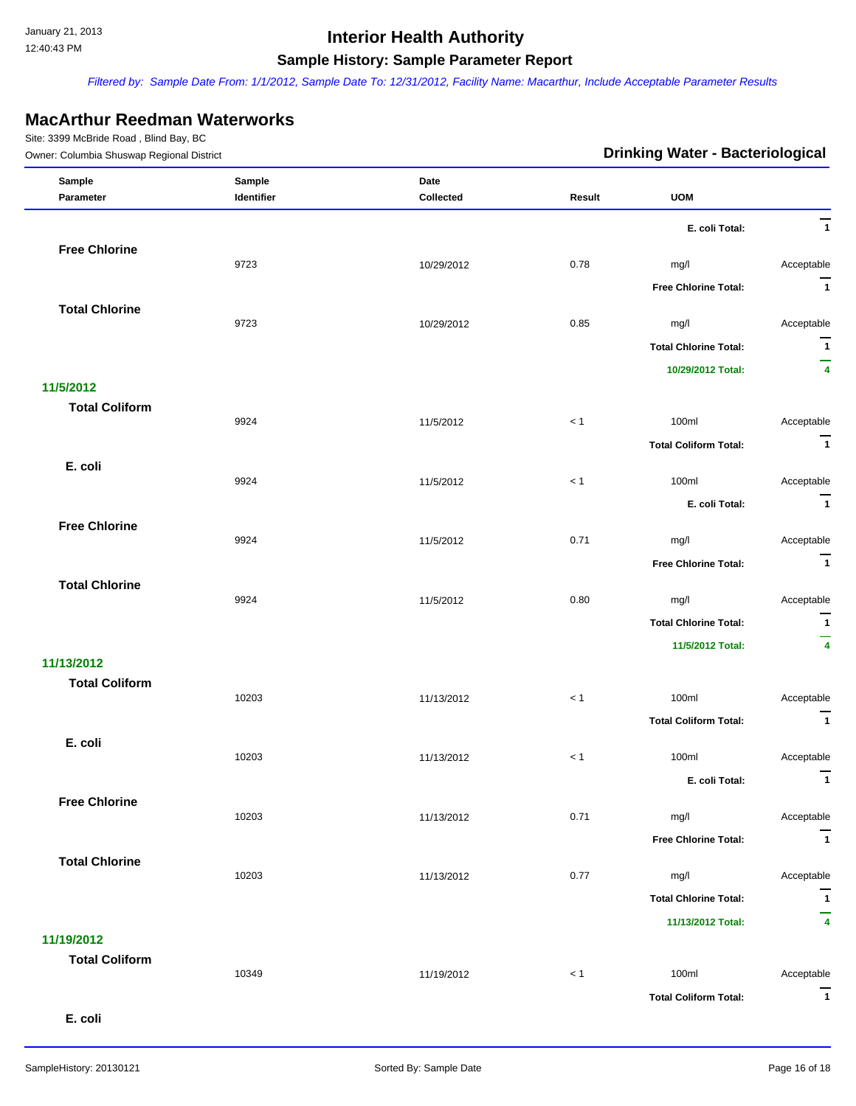*Filtered by: Sample Date From: 1/1/2012, Sample Date To: 12/31/2012, Facility Name: Macarthur, Include Acceptable Parameter Results*

### **MacArthur Reedman Waterworks**

Site: 3399 McBride Road , Blind Bay, BC

| Owner: Columbia Shuswap Regional District |            |            | <b>Drinking Water - Bacteriological</b> |                              |                              |
|-------------------------------------------|------------|------------|-----------------------------------------|------------------------------|------------------------------|
| Sample                                    | Sample     | Date       |                                         |                              |                              |
| Parameter                                 | Identifier | Collected  | Result                                  | <b>UOM</b>                   |                              |
|                                           |            |            |                                         | E. coli Total:               | $\overline{1}$               |
| <b>Free Chlorine</b>                      |            |            |                                         |                              |                              |
|                                           | 9723       | 10/29/2012 | 0.78                                    | mg/l                         | Acceptable<br>$\overline{1}$ |
|                                           |            |            |                                         | <b>Free Chlorine Total:</b>  |                              |
| <b>Total Chlorine</b>                     | 9723       | 10/29/2012 | 0.85                                    | mg/l                         | Acceptable                   |
|                                           |            |            |                                         | <b>Total Chlorine Total:</b> | $\mathbf{1}$                 |
|                                           |            |            |                                         | 10/29/2012 Total:            | -<br>4                       |
| 11/5/2012                                 |            |            |                                         |                              |                              |
| <b>Total Coliform</b>                     |            |            |                                         |                              |                              |
|                                           | 9924       | 11/5/2012  | $<1$                                    | 100ml                        | Acceptable                   |
|                                           |            |            |                                         | <b>Total Coliform Total:</b> | $\overline{1}$               |
| E. coli                                   | 9924       | 11/5/2012  | < 1                                     | 100ml                        | Acceptable                   |
|                                           |            |            |                                         | E. coli Total:               | $\overline{1}$               |
| <b>Free Chlorine</b>                      |            |            |                                         |                              |                              |
|                                           | 9924       | 11/5/2012  | 0.71                                    | mg/l                         | Acceptable                   |
|                                           |            |            |                                         | <b>Free Chlorine Total:</b>  | $\overline{1}$               |
| <b>Total Chlorine</b>                     |            |            |                                         |                              |                              |
|                                           | 9924       | 11/5/2012  | 0.80                                    | mg/l                         | Acceptable                   |
|                                           |            |            |                                         | <b>Total Chlorine Total:</b> | $\overline{1}$               |
| 11/13/2012                                |            |            |                                         | 11/5/2012 Total:             | $\overline{4}$               |
| <b>Total Coliform</b>                     |            |            |                                         |                              |                              |
|                                           | 10203      | 11/13/2012 | $<1$                                    | 100ml                        | Acceptable                   |
|                                           |            |            |                                         | <b>Total Coliform Total:</b> | $\overline{1}$               |
| E. coli                                   |            |            |                                         |                              |                              |
|                                           | 10203      | 11/13/2012 | < 1                                     | 100ml                        | Acceptable                   |
|                                           |            |            |                                         | E. coli Total:               | $\mathbf{1}$                 |
| <b>Free Chlorine</b>                      | 10203      | 11/13/2012 | 0.71                                    | mg/l                         | Acceptable                   |
|                                           |            |            |                                         | <b>Free Chlorine Total:</b>  | $\overline{1}$               |
| <b>Total Chlorine</b>                     |            |            |                                         |                              |                              |
|                                           | 10203      | 11/13/2012 | 0.77                                    | mg/l                         | Acceptable                   |
|                                           |            |            |                                         | <b>Total Chlorine Total:</b> | $\overline{1}$               |
|                                           |            |            |                                         | 11/13/2012 Total:            | 4                            |
| 11/19/2012                                |            |            |                                         |                              |                              |
| <b>Total Coliform</b>                     | 10349      | 11/19/2012 | < 1                                     | 100ml                        | Acceptable                   |
|                                           |            |            |                                         | <b>Total Coliform Total:</b> | $\overline{1}$               |
|                                           |            |            |                                         |                              |                              |

 **E. coli**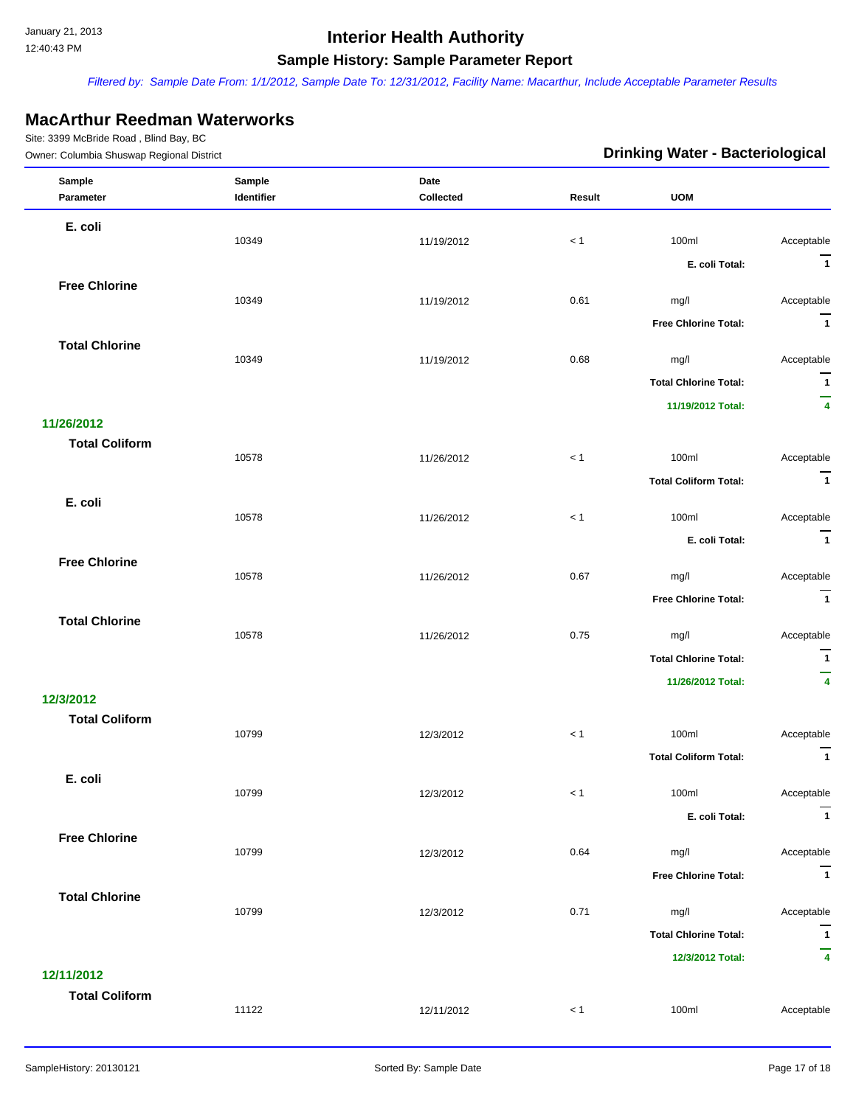*Filtered by: Sample Date From: 1/1/2012, Sample Date To: 12/31/2012, Facility Name: Macarthur, Include Acceptable Parameter Results*

### **MacArthur Reedman Waterworks**

| Owner: Columbia Shuswap Regional District |                      |                   |        | <b>Drinking Water - Bacteriological</b> |                               |
|-------------------------------------------|----------------------|-------------------|--------|-----------------------------------------|-------------------------------|
| Sample<br>Parameter                       | Sample<br>Identifier | Date<br>Collected | Result | <b>UOM</b>                              |                               |
|                                           |                      |                   |        |                                         |                               |
| E. coli                                   | 10349                | 11/19/2012        | < 1    | 100ml                                   | Acceptable                    |
|                                           |                      |                   |        | E. coli Total:                          | $\overline{1}$                |
| <b>Free Chlorine</b>                      |                      |                   |        |                                         |                               |
|                                           | 10349                | 11/19/2012        | 0.61   | mg/l                                    | Acceptable                    |
|                                           |                      |                   |        | <b>Free Chlorine Total:</b>             | $\overline{1}$                |
| <b>Total Chlorine</b>                     | 10349                | 11/19/2012        | 0.68   | mg/l                                    | Acceptable                    |
|                                           |                      |                   |        | <b>Total Chlorine Total:</b>            | $\overline{1}$                |
|                                           |                      |                   |        | 11/19/2012 Total:                       | $\overline{4}$                |
| 11/26/2012                                |                      |                   |        |                                         |                               |
| <b>Total Coliform</b>                     | 10578                | 11/26/2012        | < 1    | 100ml                                   | Acceptable                    |
|                                           |                      |                   |        | <b>Total Coliform Total:</b>            | $\overline{\mathbf{1}}$       |
| E. coli                                   |                      |                   |        |                                         |                               |
|                                           | 10578                | 11/26/2012        | $<1$   | 100ml                                   | Acceptable                    |
|                                           |                      |                   |        | E. coli Total:                          | $\overline{1}$                |
| <b>Free Chlorine</b>                      | 10578                | 11/26/2012        | 0.67   | mg/l                                    | Acceptable                    |
|                                           |                      |                   |        | <b>Free Chlorine Total:</b>             | $\overline{1}$                |
| <b>Total Chlorine</b>                     |                      |                   |        |                                         |                               |
|                                           | 10578                | 11/26/2012        | 0.75   | mg/l                                    | Acceptable                    |
|                                           |                      |                   |        | <b>Total Chlorine Total:</b>            | $\mathbf{1}$                  |
|                                           |                      |                   |        | 11/26/2012 Total:                       | $\overline{\phantom{0}}$<br>4 |
| 12/3/2012                                 |                      |                   |        |                                         |                               |
| <b>Total Coliform</b>                     | 10799                | 12/3/2012         | $<1$   | 100ml                                   | Acceptable                    |
|                                           |                      |                   |        | <b>Total Coliform Total:</b>            | $\mathbf{1}$                  |
| E. coli                                   |                      |                   |        |                                         |                               |
|                                           | 10799                | 12/3/2012         | < 1    | 100ml                                   | Acceptable<br>$\overline{1}$  |
|                                           |                      |                   |        | E. coli Total:                          |                               |
| <b>Free Chlorine</b>                      | 10799                | 12/3/2012         | 0.64   | mg/l                                    | Acceptable                    |
|                                           |                      |                   |        | <b>Free Chlorine Total:</b>             | $\overline{1}$                |
| <b>Total Chlorine</b>                     |                      |                   |        |                                         |                               |
|                                           | 10799                | 12/3/2012         | 0.71   | mg/l                                    | Acceptable                    |
|                                           |                      |                   |        | <b>Total Chlorine Total:</b>            | $\overline{1}$                |
| 12/11/2012                                |                      |                   |        | 12/3/2012 Total:                        | 4                             |
| <b>Total Coliform</b>                     |                      |                   |        |                                         |                               |
|                                           | 11122                | 12/11/2012        | < 1    | 100ml                                   | Acceptable                    |